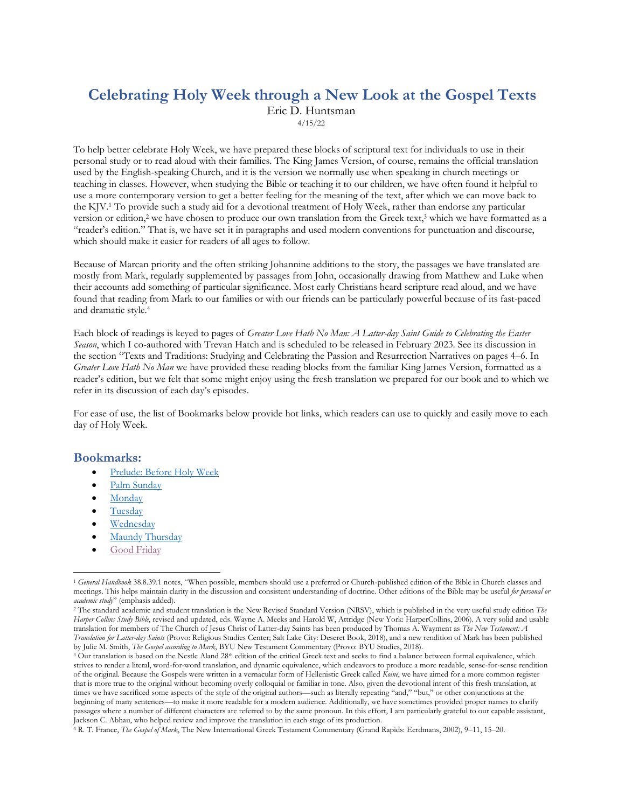# **Celebrating Holy Week through a New Look at the Gospel Texts**

Eric D. Huntsman

4/15/22

To help better celebrate Holy Week, we have prepared these blocks of scriptural text for individuals to use in their personal study or to read aloud with their families. The King James Version, of course, remains the official translation used by the English-speaking Church, and it is the version we normally use when speaking in church meetings or teaching in classes. However, when studying the Bible or teaching it to our children, we have often found it helpful to use a more contemporary version to get a better feeling for the meaning of the text, after which we can move back to the KJV.<sup>1</sup> To provide such a study aid for a devotional treatment of Holy Week, rather than endorse any particular version or edition,<sup>2</sup> we have chosen to produce our own translation from the Greek text,<sup>3</sup> which we have formatted as a "reader's edition." That is, we have set it in paragraphs and used modern conventions for punctuation and discourse, which should make it easier for readers of all ages to follow.

Because of Marcan priority and the often striking Johannine additions to the story, the passages we have translated are mostly from Mark, regularly supplemented by passages from John, occasionally drawing from Matthew and Luke when their accounts add something of particular significance. Most early Christians heard scripture read aloud, and we have found that reading from Mark to our families or with our friends can be particularly powerful because of its fast-paced and dramatic style. 4

Each block of readings is keyed to pages of *Greater Love Hath No Man: A Latter-day Saint Guide to Celebrating the Easter Season*, which I co-authored with Trevan Hatch and is scheduled to be released in February 2023. See its discussion in the section "Texts and Traditions: Studying and Celebrating the Passion and Resurrection Narratives on pages 4–6. In *Greater Love Hath No Man* we have provided these reading blocks from the familiar King James Version, formatted as a reader's edition, but we felt that some might enjoy using the fresh translation we prepared for our book and to which we refer in its discussion of each day's episodes.

For ease of use, the list of Bookmarks below provide hot links, which readers can use to quickly and easily move to each day of Holy Week.

### **Bookmarks:**

- [Prelude: Before Holy Week](#page-1-0)
- [Palm Sunday](#page-4-0)
- **[Monday](#page-7-0)**
- **[Tuesday](#page-10-0)**
- **[Wednesday](#page-13-0)**
- [Maundy Thursday](#page-14-0)
- [Good Friday](#page-23-0)

<sup>1</sup> *General Handbook* 38.8.39.1 notes, "When possible, members should use a preferred or Church-published edition of the Bible in Church classes and meetings. This helps maintain clarity in the discussion and consistent understanding of doctrine. Other editions of the Bible may be useful *for personal or academic study*" (emphasis added).

<sup>2</sup> The standard academic and student translation is the New Revised Standard Version (NRSV), which is published in the very useful study edition *The Harper Collins Study Bible*, revised and updated, eds. Wayne A. Meeks and Harold W, Attridge (New York: HarperCollins, 2006). A very solid and usable translation for members of The Church of Jesus Christ of Latter-day Saints has been produced by Thomas A. Wayment as *The New Testament: A Translation for Latter-day Saints* (Provo: Religious Studies Center; Salt Lake City: Deseret Book, 2018), and a new rendition of Mark has been published by Julie M. Smith, *The Gospel according to Mark*, BYU New Testament Commentary (Provo: BYU Studies, 2018).

<sup>&</sup>lt;sup>3</sup> Our translation is based on the Nestle Aland 28<sup>th</sup> edition of the critical Greek text and seeks to find a balance between formal equivalence, which strives to render a literal, word-for-word translation, and dynamic equivalence, which endeavors to produce a more readable, sense-for-sense rendition of the original. Because the Gospels were written in a vernacular form of Hellenistic Greek called *Koinē*, we have aimed for a more common register that is more true to the original without becoming overly colloquial or familiar in tone. Also, given the devotional intent of this fresh translation, at times we have sacrificed some aspects of the style of the original authors—such as literally repeating "and," "but," or other conjunctions at the beginning of many sentences—to make it more readable for a modern audience. Additionally, we have sometimes provided proper names to clarify passages where a number of different characters are referred to by the same pronoun. In this effort, I am particularly grateful to our capable assistant, Jackson C. Abhau, who helped review and improve the translation in each stage of its production.

<sup>4</sup> R. T. France, *The Gospel of Mark*, The New International Greek Testament Commentary (Grand Rapids: Eerdmans, 2002), 9‒11, 15‒20.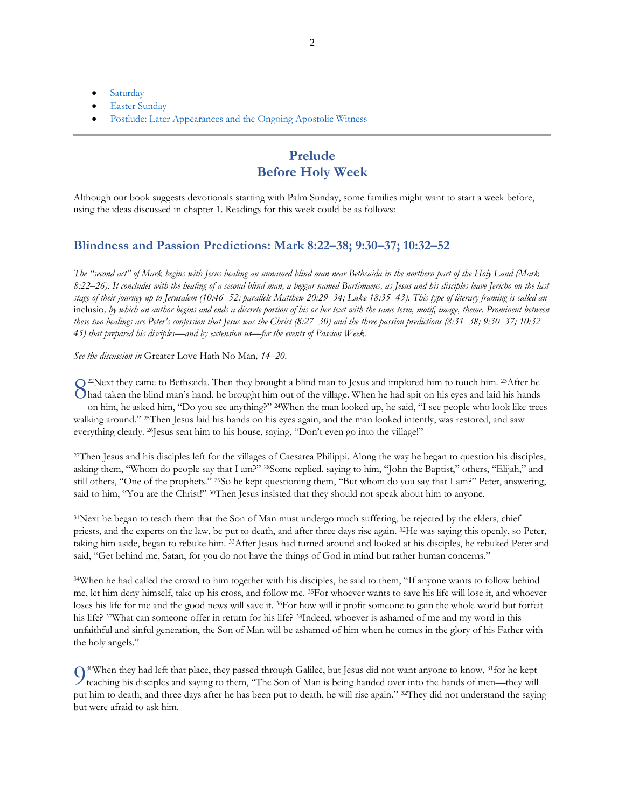- **[Saturday](#page-28-0)**
- **[Easter Sunday](#page-30-0)**
- [Postlude: Later Appearances and the Ongoing Apostolic Witness](#page-33-0)

# **Prelude Before Holy Week**

<span id="page-1-0"></span>Although our book suggests devotionals starting with Palm Sunday, some families might want to start a week before, using the ideas discussed in chapter 1. Readings for this week could be as follows:

#### **Blindness and Passion Predictions: Mark 8:22–38; 9:30–37; 10:32–52**

*The "second act" of Mark begins with Jesus healing an unnamed blind man near Bethsaida in the northern part of the Holy Land (Mark 8:22‒26). It concludes with the healing of a second blind man, a beggar named Bartimaeus, as Jesus and his disciples leave Jericho on the last stage of their journey up to Jerusalem (10:46‒52; parallels Matthew 20:29‒34; Luke 18:35‒43). This type of literary framing is called an*  inclusio, by which an author begins and ends a discrete portion of his or her text with the same term, motif, image, theme. Prominent between *these two healings are Peter's confession that Jesus was the Christ (8:27‒30) and the three passion predictions (8:31‒38; 9:30‒37; 10:32‒ 45) that prepared his disciples—and by extension us—for the events of Passion Week.*

*See the discussion in* Greater Love Hath No Man*, 14–20.*

<sup>22</sup>Next they came to Bethsaida. Then they brought a blind man to Jesus and implored him to touch him. <sup>23</sup>After he 2<sup>22</sup>Next they came to Bethsaida. Then they brought a blind man to Jesus and implored him to touch him. <sup>23</sup>After he blind man's hand, he brought him out of the village. When he had spit on his eyes and laid his hands and on him, he asked him, "Do you see anything?" 24When the man looked up, he said, "I see people who look like trees

walking around." <sup>25</sup>Then Jesus laid his hands on his eyes again, and the man looked intently, was restored, and saw everything clearly. 26Jesus sent him to his house, saying, "Don't even go into the village!"

<sup>27</sup>Then Jesus and his disciples left for the villages of Caesarea Philippi. Along the way he began to question his disciples, asking them, "Whom do people say that I am?" 28Some replied, saying to him, "John the Baptist," others, "Elijah," and still others, "One of the prophets." <sup>29</sup>So he kept questioning them, "But whom do you say that I am?" Peter, answering, said to him, "You are the Christ!" <sup>30</sup>Then Jesus insisted that they should not speak about him to anyone.

<sup>31</sup>Next he began to teach them that the Son of Man must undergo much suffering, be rejected by the elders, chief priests, and the experts on the law, be put to death, and after three days rise again. 32He was saying this openly, so Peter, taking him aside, began to rebuke him. 33After Jesus had turned around and looked at his disciples, he rebuked Peter and said, "Get behind me, Satan, for you do not have the things of God in mind but rather human concerns."

<sup>34</sup>When he had called the crowd to him together with his disciples, he said to them, "If anyone wants to follow behind me, let him deny himself, take up his cross, and follow me. 35For whoever wants to save his life will lose it, and whoever loses his life for me and the good news will save it. 36For how will it profit someone to gain the whole world but forfeit his life? <sup>37</sup>What can someone offer in return for his life? <sup>38</sup>Indeed, whoever is ashamed of me and my word in this unfaithful and sinful generation, the Son of Man will be ashamed of him when he comes in the glory of his Father with the holy angels."

3<sup>30</sup>When they had left that place, they passed through Galilee, but Jesus did not want anyone to know, <sup>31</sup>for he kept  $9^{30}$ When they had left that place, they passed through Galilee, but Jesus did not want anyone to know, <sup>31</sup> for he kept teaching his disciples and saying to them, "The Son of Man is being handed over into the hands of put him to death, and three days after he has been put to death, he will rise again." 32They did not understand the saying but were afraid to ask him.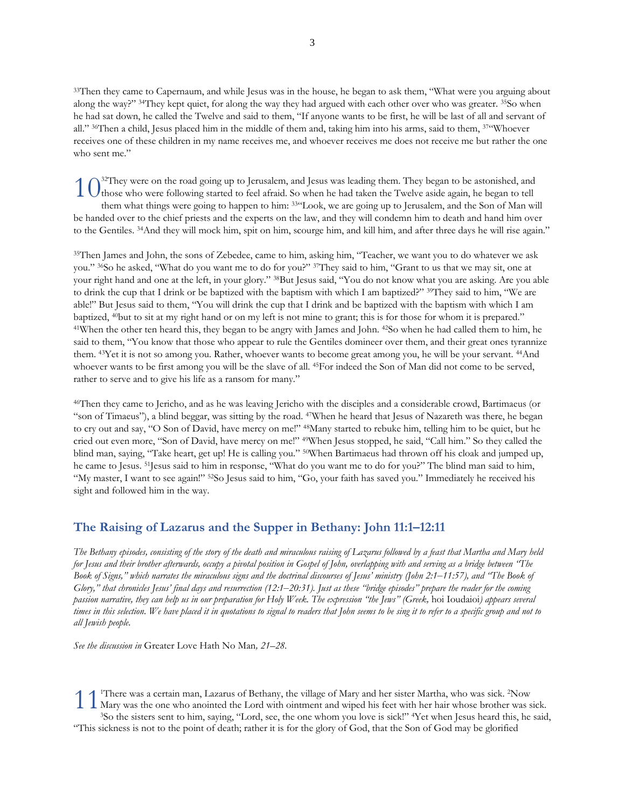<sup>33</sup>Then they came to Capernaum, and while Jesus was in the house, he began to ask them, "What were you arguing about along the way?" 34They kept quiet, for along the way they had argued with each other over who was greater. 35So when he had sat down, he called the Twelve and said to them, "If anyone wants to be first, he will be last of all and servant of all." 36Then a child, Jesus placed him in the middle of them and, taking him into his arms, said to them, 37"Whoever receives one of these children in my name receives me, and whoever receives me does not receive me but rather the one who sent me."

<sup>32</sup>They were on the road going up to Jerusalem, and Jesus was leading them. They began to be astonished, and  $10^{32}$ They were on the road going up to Jerusalem, and Jesus was leading them. They began to be astonished, and those who were following started to feel afraid. So when he had taken the Twelve aside again, he began to t them what things were going to happen to him: 33"Look, we are going up to Jerusalem, and the Son of Man will be handed over to the chief priests and the experts on the law, and they will condemn him to death and hand him over to the Gentiles. <sup>34</sup>And they will mock him, spit on him, scourge him, and kill him, and after three days he will rise again."

<sup>35</sup>Then James and John, the sons of Zebedee, came to him, asking him, "Teacher, we want you to do whatever we ask you." 36So he asked, "What do you want me to do for you?" 37They said to him, "Grant to us that we may sit, one at your right hand and one at the left, in your glory." 38But Jesus said, "You do not know what you are asking. Are you able to drink the cup that I drink or be baptized with the baptism with which I am baptized?" 39They said to him, "We are able!" But Jesus said to them, "You will drink the cup that I drink and be baptized with the baptism with which I am baptized, 40but to sit at my right hand or on my left is not mine to grant; this is for those for whom it is prepared." <sup>41</sup>When the other ten heard this, they began to be angry with James and John. <sup>42</sup>So when he had called them to him, he said to them, "You know that those who appear to rule the Gentiles domineer over them, and their great ones tyrannize them. 43Yet it is not so among you. Rather, whoever wants to become great among you, he will be your servant. 44And whoever wants to be first among you will be the slave of all. <sup>45</sup>For indeed the Son of Man did not come to be served, rather to serve and to give his life as a ransom for many."

<sup>46</sup>Then they came to Jericho, and as he was leaving Jericho with the disciples and a considerable crowd, Bartimaeus (or "son of Timaeus"), a blind beggar, was sitting by the road. 47When he heard that Jesus of Nazareth was there, he began to cry out and say, "O Son of David, have mercy on me!" 48Many started to rebuke him, telling him to be quiet, but he cried out even more, "Son of David, have mercy on me!" 49When Jesus stopped, he said, "Call him." So they called the blind man, saying, "Take heart, get up! He is calling you." 50When Bartimaeus had thrown off his cloak and jumped up, he came to Jesus. 51Jesus said to him in response, "What do you want me to do for you?" The blind man said to him, "My master, I want to see again!" 52So Jesus said to him, "Go, your faith has saved you." Immediately he received his sight and followed him in the way.

### **The Raising of Lazarus and the Supper in Bethany: John 11:1–12:11**

*The Bethany episodes, consisting of the story of the death and miraculous raising of Lazarus followed by a feast that Martha and Mary held for Jesus and their brother afterwards, occupy a pivotal position in Gospel of John, overlapping with and serving as a bridge between "The Book of Signs," which narrates the miraculous signs and the doctrinal discourses of Jesus' ministry (John 2:1‒11:57), and "The Book of Glory," that chronicles Jesus' final days and resurrection (12:1‒20:31). Just as these "bridge episodes" prepare the reader for the coming passion narrative, they can help us in our preparation for Holy Week. The expression "the Jews" (Greek,* hoi Ioudaioi*) appears several times in this selection*. *We have placed it in quotations to signal to readers that John seems to be sing it to refer to a specific group and not to all Jewish people.*

*See the discussion in* Greater Love Hath No Man*, 21–28.*

<sup>1</sup>There was a certain man, Lazarus of Bethany, the village of Mary and her sister Martha, who was sick. 2Now 1 There was a certain man, Lazarus of Bethany, the village of Mary and her sister Martha, who was sick. 2Now Mary was the one who anointed the Lord with ointment and wiped his feet with her hair whose brother was sick. <sup>3</sup>So the sisters sent to him, saying, "Lord, see, the one whom you love is sick!" 4Yet when Jesus heard this, he said, "This sickness is not to the point of death; rather it is for the glory of God, that the Son of God may be glorified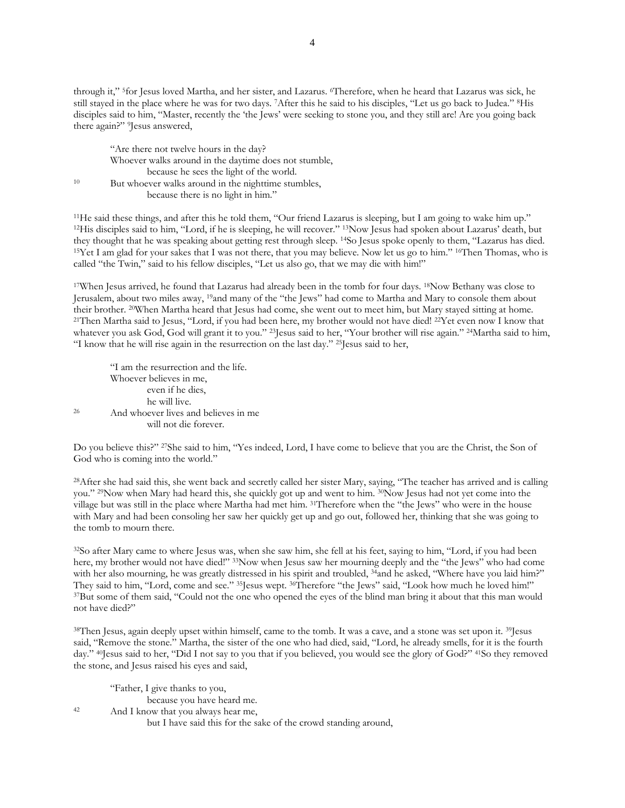through it," <sup>5</sup> for Jesus loved Martha, and her sister, and Lazarus. 6Therefore, when he heard that Lazarus was sick, he still stayed in the place where he was for two days. 7After this he said to his disciples, "Let us go back to Judea." 8His disciples said to him, "Master, recently the 'the Jews' were seeking to stone you, and they still are! Are you going back there again?" <sup>9</sup> Jesus answered,

"Are there not twelve hours in the day? Whoever walks around in the daytime does not stumble, because he sees the light of the world. <sup>10</sup> But whoever walks around in the nighttime stumbles, because there is no light in him."

<sup>11</sup>He said these things, and after this he told them, "Our friend Lazarus is sleeping, but I am going to wake him up."  $12$ His disciples said to him, "Lord, if he is sleeping, he will recover."  $13$ Now Jesus had spoken about Lazarus' death, but they thought that he was speaking about getting rest through sleep. 14So Jesus spoke openly to them, "Lazarus has died. <sup>15</sup>Yet I am glad for your sakes that I was not there, that you may believe. Now let us go to him." 16Then Thomas, who is called "the Twin," said to his fellow disciples, "Let us also go, that we may die with him!"

<sup>17</sup>When Jesus arrived, he found that Lazarus had already been in the tomb for four days. <sup>18</sup>Now Bethany was close to Jerusalem, about two miles away, 19and many of the "the Jews" had come to Martha and Mary to console them about their brother. 20When Martha heard that Jesus had come, she went out to meet him, but Mary stayed sitting at home. <sup>21</sup>Then Martha said to Jesus, "Lord, if you had been here, my brother would not have died! <sup>22</sup>Yet even now I know that whatever you ask God, God will grant it to you." 23Jesus said to her, "Your brother will rise again." 24Martha said to him, "I know that he will rise again in the resurrection on the last day." <sup>25</sup>Jesus said to her,

"I am the resurrection and the life. Whoever believes in me, even if he dies, he will live. <sup>26</sup> And whoever lives and believes in me will not die forever.

Do you believe this?" 27She said to him, "Yes indeed, Lord, I have come to believe that you are the Christ, the Son of God who is coming into the world."

<sup>28</sup>After she had said this, she went back and secretly called her sister Mary, saying, "The teacher has arrived and is calling you." <sup>29</sup>Now when Mary had heard this, she quickly got up and went to him. <sup>30</sup>Now Jesus had not yet come into the village but was still in the place where Martha had met him. 31Therefore when the "the Jews" who were in the house with Mary and had been consoling her saw her quickly get up and go out, followed her, thinking that she was going to the tomb to mourn there.

<sup>32</sup>So after Mary came to where Jesus was, when she saw him, she fell at his feet, saying to him, "Lord, if you had been here, my brother would not have died!" 33Now when Jesus saw her mourning deeply and the "the Jews" who had come with her also mourning, he was greatly distressed in his spirit and troubled, <sup>34</sup>and he asked, "Where have you laid him?" They said to him, "Lord, come and see." <sup>35</sup>Jesus wept. <sup>36</sup>Therefore "the Jews" said, "Look how much he loved him!" <sup>37</sup>But some of them said, "Could not the one who opened the eyes of the blind man bring it about that this man would not have died?"

<sup>38</sup>Then Jesus, again deeply upset within himself, came to the tomb. It was a cave, and a stone was set upon it. <sup>39</sup>Jesus said, "Remove the stone." Martha, the sister of the one who had died, said, "Lord, he already smells, for it is the fourth day." <sup>40</sup>Jesus said to her, "Did I not say to you that if you believed, you would see the glory of God?" <sup>41</sup>So they removed the stone, and Jesus raised his eyes and said,

"Father, I give thanks to you,

because you have heard me.

<sup>42</sup> And I know that you always hear me,

but I have said this for the sake of the crowd standing around,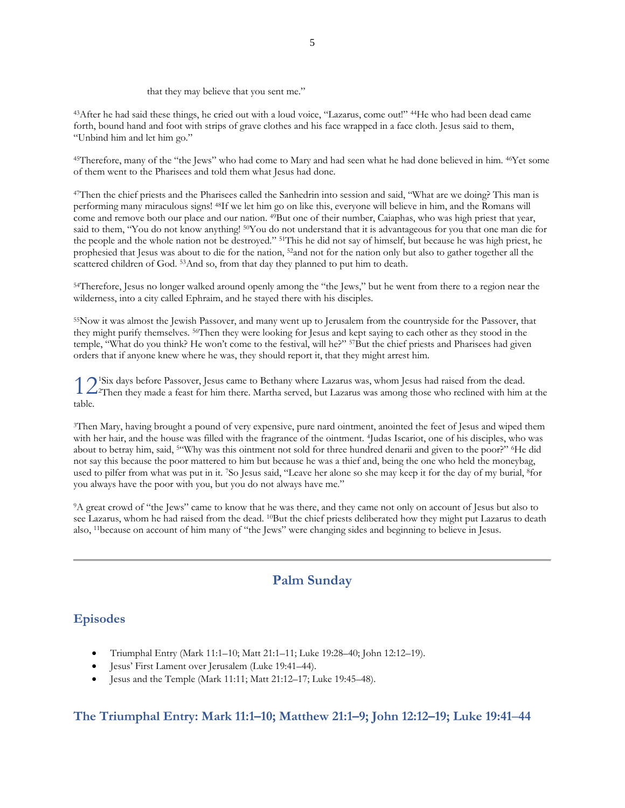#### that they may believe that you sent me."

<sup>43</sup>After he had said these things, he cried out with a loud voice, "Lazarus, come out!" 44He who had been dead came forth, bound hand and foot with strips of grave clothes and his face wrapped in a face cloth. Jesus said to them, "Unbind him and let him go."

<sup>45</sup>Therefore, many of the "the Jews" who had come to Mary and had seen what he had done believed in him. 46Yet some of them went to the Pharisees and told them what Jesus had done.

<sup>47</sup>Then the chief priests and the Pharisees called the Sanhedrin into session and said, "What are we doing? This man is performing many miraculous signs! 48If we let him go on like this, everyone will believe in him, and the Romans will come and remove both our place and our nation. <sup>49</sup>But one of their number, Caiaphas, who was high priest that year, said to them, "You do not know anything! <sup>50</sup>You do not understand that it is advantageous for you that one man die for the people and the whole nation not be destroyed." 51This he did not say of himself, but because he was high priest, he prophesied that Jesus was about to die for the nation, 52and not for the nation only but also to gather together all the scattered children of God. 53And so, from that day they planned to put him to death.

<sup>54</sup>Therefore, Jesus no longer walked around openly among the "the Jews," but he went from there to a region near the wilderness, into a city called Ephraim, and he stayed there with his disciples.

<sup>55</sup>Now it was almost the Jewish Passover, and many went up to Jerusalem from the countryside for the Passover, that they might purify themselves. 56Then they were looking for Jesus and kept saying to each other as they stood in the temple, "What do you think? He won't come to the festival, will he?" 57But the chief priests and Pharisees had given orders that if anyone knew where he was, they should report it, that they might arrest him.

<sup>1</sup>Six days before Passover, Jesus came to Bethany where Lazarus was, whom Jesus had raised from the dead. 1 2<sup>1</sup>Six days before Passover, Jesus came to Bethany where Lazarus was, whom Jesus had raised from the dead.<br>1 2<sup>2</sup>Then they made a feast for him there. Martha served, but Lazarus was among those who reclined with him at table.

<sup>3</sup>Then Mary, having brought a pound of very expensive, pure nard ointment, anointed the feet of Jesus and wiped them with her hair, and the house was filled with the fragrance of the ointment. <sup>4</sup> Judas Iscariot, one of his disciples, who was about to betray him, said, <sup>5"</sup>Why was this ointment not sold for three hundred denarii and given to the poor?" <sup>6</sup>He did not say this because the poor mattered to him but because he was a thief and, being the one who held the moneybag, used to pilfer from what was put in it. <sup>7</sup>So Jesus said, "Leave her alone so she may keep it for the day of my burial, <sup>8</sup>for you always have the poor with you, but you do not always have me."

<sup>9</sup>A great crowd of "the Jews" came to know that he was there, and they came not only on account of Jesus but also to see Lazarus, whom he had raised from the dead. <sup>10</sup>But the chief priests deliberated how they might put Lazarus to death also, 11because on account of him many of "the Jews" were changing sides and beginning to believe in Jesus.

# **Palm Sunday**

# <span id="page-4-0"></span>**Episodes**

- Triumphal Entry (Mark 11:1–10; Matt 21:1–11; Luke 19:28–40; John 12:12–19).
- Jesus' First Lament over Jerusalem (Luke 19:41–44).
- Jesus and the Temple (Mark 11:11; Matt 21:12–17; Luke 19:45–48).

### **The Triumphal Entry: Mark 11:1–10; Matthew 21:1–9; John 12:12–19; Luke 19:41‒44**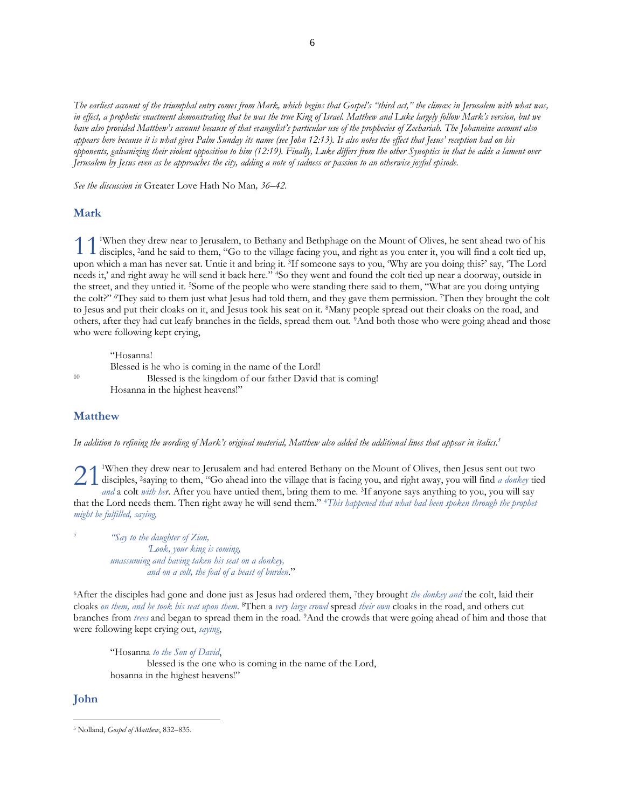*The earliest account of the triumphal entry comes from Mark, which begins that Gospel's "third act," the climax in Jerusalem with what was, in effect, a prophetic enactment demonstrating that he was the true King of Israel. Matthew and Luke largely follow Mark's version, but we have also provided Matthew's account because of that evangelist's particular use of the prophecies of Zechariah. The Johannine account also appears here because it is what gives Palm Sunday its name (see John 12:13). It also notes the effect that Jesus' reception had on his opponents, galvanizing their violent opposition to him (12:19). Finally, Luke differs from the other Synoptics in that he adds a lament over Jerusalem by Jesus even as he approaches the city, adding a note of sadness or passion to an otherwise joyful episode.*

*See the discussion in* Greater Love Hath No Man*, 36–42.*

### **Mark**

<sup>1</sup>When they drew near to Jerusalem, to Bethany and Bethphage on the Mount of Olives, he sent ahead two of his disciples, 2and he said to them, "Go to the village facing you, and right as you enter it, you will find a colt tied up, upon which a man has never sat. Untie it and bring it. 3If someone says to you, 'Why are you doing this?' say, 'The Lord needs it,' and right away he will send it back here." 4So they went and found the colt tied up near a doorway, outside in the street, and they untied it. 5Some of the people who were standing there said to them, "What are you doing untying the colt?" 6They said to them just what Jesus had told them, and they gave them permission. 7Then they brought the colt to Jesus and put their cloaks on it, and Jesus took his seat on it. 8Many people spread out their cloaks on the road, and others, after they had cut leafy branches in the fields, spread them out. 9And both those who were going ahead and those who were following kept crying,  $\perp$ 

"Hosanna!

*5*

Blessed is he who is coming in the name of the Lord! <sup>10</sup> Blessed is the kingdom of our father David that is coming! Hosanna in the highest heavens!"

### **Matthew**

In addition to refining the wording of Mark's original material, Matthew also added the additional lines that appear in italics.<sup>5</sup>

<sup>1</sup>When they drew near to Jerusalem and had entered Bethany on the Mount of Olives, then Jesus sent out two <sup>1</sup>When they drew near to Jerusalem and had entered Bethany on the Mount of Olives, then Jesus sent out two<br>disciples, <sup>2</sup>saying to them, "Go ahead into the village that is facing you, and right away, you will find *a donk and* a colt *with her*. After you have untied them, bring them to me. 3If anyone says anything to you, you will say that the Lord needs them. Then right away he will send them." 4*This happened that what had been spoken through the prophet might be fulfilled, saying,* 

*"Say to the daughter of Zion, 'Look, your king is coming, unassuming and having taken his seat on a donkey, and on a colt, the foal of a beast of burden.*"

<sup>6</sup>After the disciples had gone and done just as Jesus had ordered them, <sup>7</sup> they brought *the donkey and* the colt, laid their cloaks *on them, and he took his seat upon them*. <sup>8</sup>Then a *very large crowd* spread *their own* cloaks in the road, and others cut branches from *trees* and began to spread them in the road. 9And the crowds that were going ahead of him and those that were following kept crying out, *saying*,

"Hosanna *to the Son of David*, blessed is the one who is coming in the name of the Lord, hosanna in the highest heavens!"

### **John**

<sup>5</sup> Nolland, *Gospel of Matthew*, 832–835.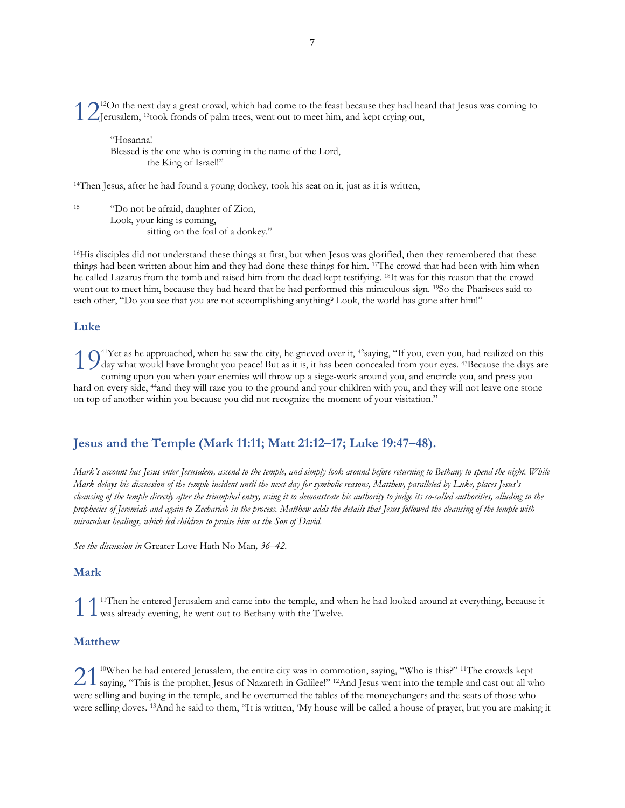<sup>12</sup>On the next day a great crowd, which had come to the feast because they had heard that Jesus was coming to  $\sum$ <sup>12</sup>On the next day a great crowd, which had come to the feast because they had heartlers, 13took fronds of palm trees, went out to meet him, and kept crying out,

"Hosanna! Blessed is the one who is coming in the name of the Lord, the King of Israel!"

<sup>14</sup>Then Jesus, after he had found a young donkey, took his seat on it, just as it is written,

<sup>15</sup> "Do not be afraid, daughter of Zion, Look, your king is coming, sitting on the foal of a donkey."

<sup>16</sup>His disciples did not understand these things at first, but when Jesus was glorified, then they remembered that these things had been written about him and they had done these things for him. 17The crowd that had been with him when he called Lazarus from the tomb and raised him from the dead kept testifying. 18It was for this reason that the crowd went out to meet him, because they had heard that he had performed this miraculous sign. 19So the Pharisees said to each other, "Do you see that you are not accomplishing anything? Look, the world has gone after him!"

#### **Luke**

 $41$ Yet as he approached, when he saw the city, he grieved over it,  $42$ saying, "If you, even you, had realized on this  $\int \int d^{4}Y$ et as he approached, when he saw the city, he grieved over it, <sup>42</sup>saying, "If you, even you, had realized on this day what would have brought you peace! But as it is, it has been concealed from your eyes.  $43$ coming upon you when your enemies will throw up a siege-work around you, and encircle you, and press you hard on every side, 44and they will raze you to the ground and your children with you, and they will not leave one stone on top of another within you because you did not recognize the moment of your visitation."

### **Jesus and the Temple (Mark 11:11; Matt 21:12–17; Luke 19:47–48).**

*Mark's account has Jesus enter Jerusalem, ascend to the temple, and simply look around before returning to Bethany to spend the night. While Mark delays his discussion of the temple incident until the next day for symbolic reasons, Matthew, paralleled by Luke, places Jesus's cleansing of the temple directly after the triumphal entry, using it to demonstrate his authority to judge its so-called authorities, alluding to the prophecies of Jeremiah and again to Zechariah in the process. Matthew adds the details that Jesus followed the cleansing of the temple with miraculous healings, which led children to praise him as the Son of David.*

*See the discussion in* Greater Love Hath No Man*, 36–42.*

### **Mark**

<sup>11</sup>Then he entered Jerusalem and came into the temple, and when he had looked around at everything, because it  $1$   $1$ <sup>11</sup>Then he entered Jerusalem and came into the temple, and w was already evening, he went out to Bethany with the Twelve.

### **Matthew**

<sup>10</sup>When he had entered Jerusalem, the entire city was in commotion, saying, "Who is this?" 11The crowds kept  $21^{10}$ When he had entered Jerusalem, the entire city was in commotion, saying, "Who is this?" <sup>11</sup>The crowds kept saying, "This is the prophet, Jesus of Nazareth in Galilee!" <sup>12</sup>And Jesus went into the temple and cast were selling and buying in the temple, and he overturned the tables of the moneychangers and the seats of those who were selling doves. 13And he said to them, "It is written, 'My house will be called a house of prayer, but you are making it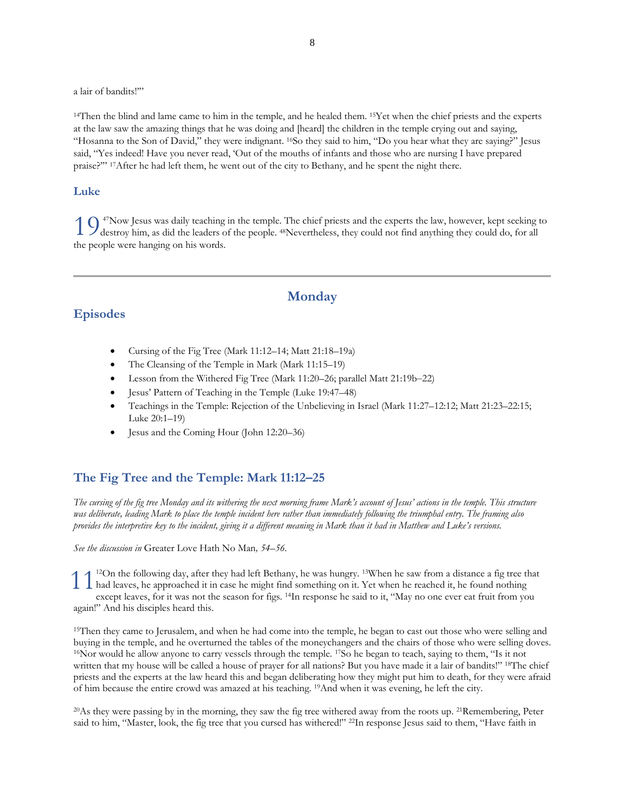a lair of bandits!'"

<sup>14</sup>Then the blind and lame came to him in the temple, and he healed them. <sup>15</sup>Yet when the chief priests and the experts at the law saw the amazing things that he was doing and [heard] the children in the temple crying out and saying, "Hosanna to the Son of David," they were indignant. 16So they said to him, "Do you hear what they are saying?" Jesus said, "Yes indeed! Have you never read, 'Out of the mouths of infants and those who are nursing I have prepared praise?'" 17After he had left them, he went out of the city to Bethany, and he spent the night there.

#### **Luke**

<sup>47</sup>Now Jesus was daily teaching in the temple. The chief priests and the experts the law, however, kept seeking to 1  $\int$ <sup>47</sup>Now Jesus was daily teaching in the temple. The chief priests and the experts the law, however, kept seeking they destroy him, as did the leaders of the people. <sup>48</sup>Nevertheless, they could not find anything they the people were hanging on his words.

# **Monday**

### <span id="page-7-0"></span>**Episodes**

- Cursing of the Fig Tree (Mark 11:12–14; Matt 21:18–19a)
- The Cleansing of the Temple in Mark (Mark 11:15–19)
- Lesson from the Withered Fig Tree (Mark 11:20–26; parallel Matt 21:19b–22)
- Jesus' Pattern of Teaching in the Temple (Luke 19:47–48)
- Teachings in the Temple: Rejection of the Unbelieving in Israel (Mark 11:27–12:12; Matt 21:23–22:15; Luke 20:1–19)
- Jesus and the Coming Hour (John 12:20–36)

# **The Fig Tree and the Temple: Mark 11:12–25**

*The cursing of the fig tree Monday and its withering the next morning frame Mark's account of Jesus' actions in the temple. This structure was deliberate, leading Mark to place the temple incident here rather than immediately following the triumphal entry. The framing also provides the interpretive key to the incident, giving it a different meaning in Mark than it had in Matthew and Luke's versions.*

*See the discussion in* Greater Love Hath No Man*, 54–56.*

<sup>12</sup>On the following day, after they had left Bethany, he was hungry. 13When he saw from a distance a fig tree that <sup>12</sup>On the following day, after they had left Bethany, he was hungry. <sup>13</sup>When he saw from a distance a fig tree the had leaves, he approached it in case he might find something on it. Yet when he reached it, he found noth except leaves, for it was not the season for figs. 14In response he said to it, "May no one ever eat fruit from you again!" And his disciples heard this.

<sup>15</sup>Then they came to Jerusalem, and when he had come into the temple, he began to cast out those who were selling and buying in the temple, and he overturned the tables of the moneychangers and the chairs of those who were selling doves. <sup>16</sup>Nor would he allow anyone to carry vessels through the temple. 17So he began to teach, saying to them, "Is it not written that my house will be called a house of prayer for all nations? But you have made it a lair of bandits!" 18The chief priests and the experts at the law heard this and began deliberating how they might put him to death, for they were afraid of him because the entire crowd was amazed at his teaching. 19And when it was evening, he left the city.

<sup>20</sup>As they were passing by in the morning, they saw the fig tree withered away from the roots up. 21Remembering, Peter said to him, "Master, look, the fig tree that you cursed has withered!" 22In response Jesus said to them, "Have faith in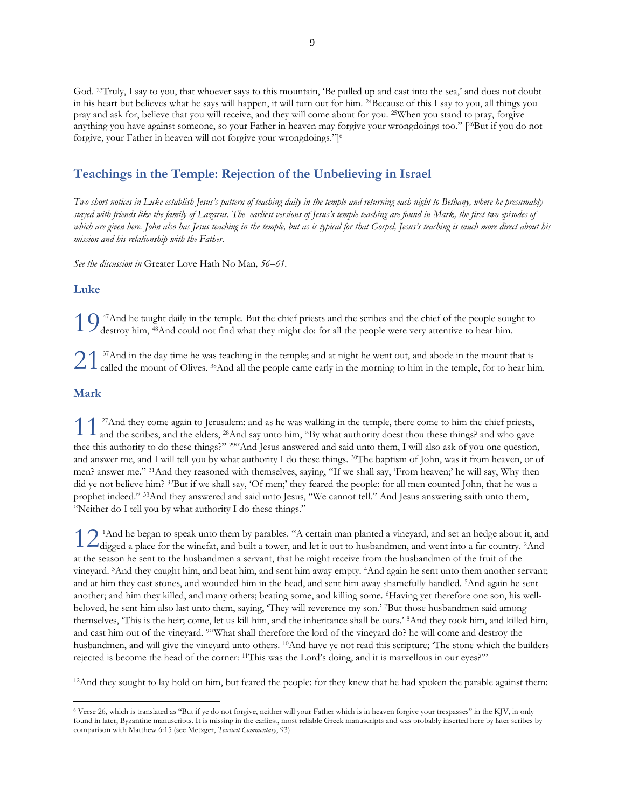God. <sup>23</sup>Truly, I say to you, that whoever says to this mountain, 'Be pulled up and cast into the sea,' and does not doubt in his heart but believes what he says will happen, it will turn out for him. 24Because of this I say to you, all things you pray and ask for, believe that you will receive, and they will come about for you. 25When you stand to pray, forgive anything you have against someone, so your Father in heaven may forgive your wrongdoings too." [26But if you do not forgive, your Father in heaven will not forgive your wrongdoings."]<sup>6</sup>

# **Teachings in the Temple: Rejection of the Unbelieving in Israel**

*Two short notices in Luke establish Jesus's pattern of teaching daily in the temple and returning each night to Bethany, where he presumably stayed with friends like the family of Lazarus. The earliest versions of Jesus's temple teaching are found in Mark, the first two episodes of which are given here. John also has Jesus teaching in the temple, but as is typical for that Gospel, Jesus's teaching is much more direct about his mission and his relationship with the Father.*

*See the discussion in* Greater Love Hath No Man*, 56–61.*

#### **Luke**

<sup>47</sup>And he taught daily in the temple. But the chief priests and the scribes and the chief of the people sought to 1  $\int$ <sup>47</sup>And he taught daily in the temple. But the chief priests and the scribes and the chief of the people sou<sub>j</sub> destroy him, <sup>48</sup>And could not find what they might do: for all the people were very attentive to hear h

<sup>37</sup>And in the day time he was teaching in the temple; and at night he went out, and abode in the mount that is  $21$ <sup>37</sup>And in the day time he was teaching in the temple; and at night he went out, and abode in the mount that is called the mount of Olives. <sup>38</sup>And all the people came early in the morning to him in the temple, for to

### **Mark**

<sup>27</sup>And they come again to Jerusalem: and as he was walking in the temple, there come to him the chief priests, 1 <sup>27</sup> And they come again to Jerusalem: and as he was walking in the temple, there come to him the chief priests, and the elders, <sup>28</sup> And say unto him, "By what authority doest thou these things? and who gave thee this authority to do these things?" 29"And Jesus answered and said unto them, I will also ask of you one question, and answer me, and I will tell you by what authority I do these things. <sup>30</sup>The baptism of John, was it from heaven, or of men? answer me." 31And they reasoned with themselves, saying, "If we shall say, 'From heaven;' he will say, Why then did ye not believe him? 32But if we shall say, 'Of men;' they feared the people: for all men counted John, that he was a prophet indeed." 33And they answered and said unto Jesus, "We cannot tell." And Jesus answering saith unto them, "Neither do I tell you by what authority I do these things."

<sup>1</sup>And he began to speak unto them by parables. "A certain man planted a vineyard, and set an hedge about it, and  $12$ <sup>1</sup>And he began to speak unto them by parables. "A certain man planted a vineyard, and set an hedge about it, and digged a place for the winefat, and built a tower, and let it out to husbandmen, and went into a far co at the season he sent to the husbandmen a servant, that he might receive from the husbandmen of the fruit of the vineyard. 3And they caught him, and beat him, and sent him away empty. 4And again he sent unto them another servant; and at him they cast stones, and wounded him in the head, and sent him away shamefully handled. 5And again he sent another; and him they killed, and many others; beating some, and killing some. 6Having yet therefore one son, his wellbeloved, he sent him also last unto them, saying, 'They will reverence my son.' 7But those husbandmen said among themselves, 'This is the heir; come, let us kill him, and the inheritance shall be ours.' 8And they took him, and killed him, and cast him out of the vineyard. 9"What shall therefore the lord of the vineyard do? he will come and destroy the husbandmen, and will give the vineyard unto others. 10And have ye not read this scripture; 'The stone which the builders rejected is become the head of the corner: 11This was the Lord's doing, and it is marvellous in our eyes?'"

<sup>12</sup>And they sought to lay hold on him, but feared the people: for they knew that he had spoken the parable against them:

<sup>6</sup> Verse 26, which is translated as "But if ye do not forgive, neither will your Father which is in heaven forgive your trespasses" in the KJV, in only found in later, Byzantine manuscripts. It is missing in the earliest, most reliable Greek manuscripts and was probably inserted here by later scribes by comparison with Matthew 6:15 (see Metzger, *Textual Commentary*, 93)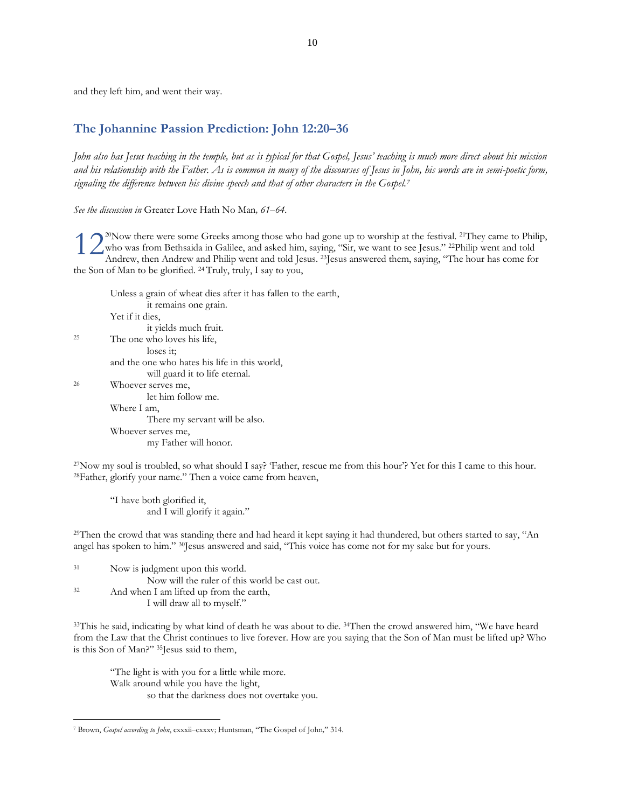and they left him, and went their way.

### **The Johannine Passion Prediction: John 12:20–36**

*John also has Jesus teaching in the temple, but as is typical for that Gospel, Jesus' teaching is much more direct about his mission and his relationship with the Father. As is common in many of the discourses of Jesus in John, his words are in semi-poetic form, signaling the difference between his divine speech and that of other characters in the Gospel.<sup>7</sup>*

*See the discussion in* Greater Love Hath No Man*, 61–64.*

<sup>20</sup>Now there were some Greeks among those who had gone up to worship at the festival. <sup>21</sup>They came to Philip, who was from Bethsaida in Galilee, and asked him, saying, "Sir, we want to see Jesus." <sup>22</sup>Philip went and told Andrew, then Andrew and Philip went and told Jesus.<sup>23</sup>Jesus answered them, saying, "The hour has come for the Son of Man to be glorified. 24 Truly, truly, I say to you, 12

|    | Unless a grain of wheat dies after it has fallen to the earth, |
|----|----------------------------------------------------------------|
|    | it remains one grain.                                          |
|    | Yet if it dies.                                                |
|    | it yields much fruit.                                          |
| 25 | The one who loves his life,                                    |
|    | loses it:                                                      |
|    | and the one who hates his life in this world,                  |
|    | will guard it to life eternal.                                 |
| 26 | Whoever serves me,                                             |
|    | let him follow me.                                             |
|    | Where I am.                                                    |
|    | There my servant will be also.                                 |
|    | Whoever serves me,                                             |
|    | my Father will honor.                                          |
|    |                                                                |

<sup>27</sup>Now my soul is troubled, so what should I say? 'Father, rescue me from this hour'? Yet for this I came to this hour. <sup>28</sup>Father, glorify your name." Then a voice came from heaven,

"I have both glorified it, and I will glorify it again."

<sup>29</sup>Then the crowd that was standing there and had heard it kept saying it had thundered, but others started to say, "An angel has spoken to him." <sup>30</sup> Jesus answered and said, "This voice has come not for my sake but for yours.

| 31 | Now is judgment upon this world.              |
|----|-----------------------------------------------|
|    | Now will the ruler of this world be cast out. |
| 32 | And when I am lifted up from the earth,       |
|    | I will draw all to myself."                   |

<sup>33</sup>This he said, indicating by what kind of death he was about to die. 34Then the crowd answered him, "We have heard from the Law that the Christ continues to live forever. How are you saying that the Son of Man must be lifted up? Who is this Son of Man?" 35Jesus said to them,

"The light is with you for a little while more. Walk around while you have the light, so that the darkness does not overtake you.

<sup>&</sup>lt;sup>7</sup> Brown, *Gospel according to John*, cxxxii-cxxxv; Huntsman, "The Gospel of John," 314.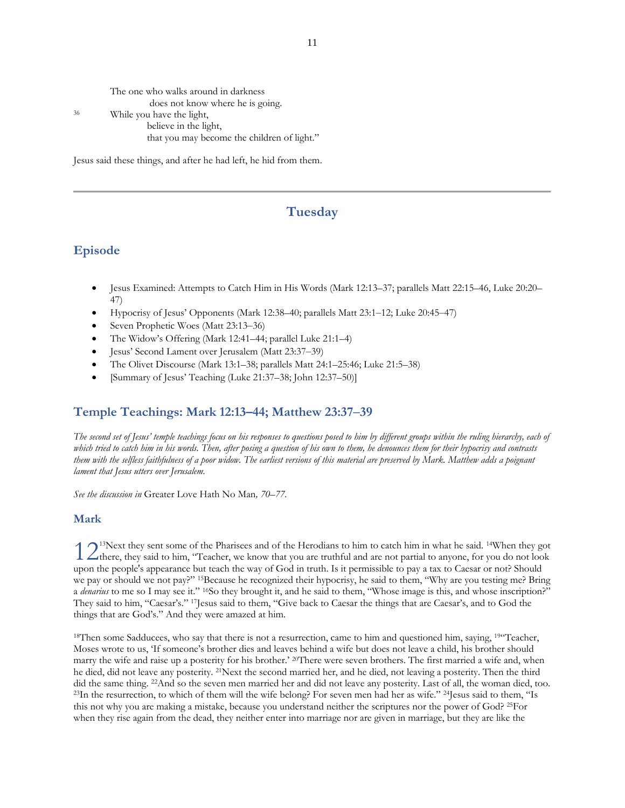The one who walks around in darkness does not know where he is going. <sup>36</sup> While you have the light, believe in the light, that you may become the children of light."

Jesus said these things, and after he had left, he hid from them.

# **Tuesday**

# <span id="page-10-0"></span>**Episode**

- Jesus Examined: Attempts to Catch Him in His Words (Mark 12:13–37; parallels Matt 22:15–46, Luke 20:20– 47)
- Hypocrisy of Jesus' Opponents (Mark 12:38–40; parallels Matt 23:1‒12; Luke 20:45‒47)
- Seven Prophetic Woes (Matt 23:13‒36)
- The Widow's Offering (Mark 12:41–44; parallel Luke 21:1–4)
- Jesus' Second Lament over Jerusalem (Matt 23:37‒39)
- The Olivet Discourse (Mark 13:1–38; parallels Matt 24:1–25:46; Luke 21:5–38)
- [Summary of Jesus' Teaching (Luke 21:37–38; John 12:37–50)]

# **Temple Teachings: Mark 12:13–44; Matthew 23:37‒39**

*The second set of Jesus' temple teachings focus on his responses to questions posed to him by different groups within the ruling hierarchy, each of which tried to catch him in his words. Then, after posing a question of his own to them, he denounces them for their hypocrisy and contrasts them with the selfless faithfulness of a poor widow. The earliest versions of this material are preserved by Mark. Matthew adds a poignant lament that Jesus utters over Jerusalem.*

*See the discussion in* Greater Love Hath No Man*, 70–77.*

# **Mark**

<sup>13</sup>Next they sent some of the Pharisees and of the Herodians to him to catch him in what he said. 14When they got 12<sup>13</sup>Next they sent some of the Pharisees and of the Herodians to him to catch him in what he said. <sup>14</sup>When they got there, they said to him, "Teacher, we know that you are truthful and are not partial to anyone, for you upon the people's appearance but teach the way of God in truth. Is it permissible to pay a tax to Caesar or not? Should we pay or should we not pay?" <sup>15</sup>Because he recognized their hypocrisy, he said to them, "Why are you testing me? Bring a *denarius* to me so I may see it." <sup>16</sup>So they brought it, and he said to them, "Whose image is this, and whose inscription?" They said to him, "Caesar's." 17Jesus said to them, "Give back to Caesar the things that are Caesar's, and to God the things that are God's." And they were amazed at him.

<sup>18</sup>Then some Sadducees, who say that there is not a resurrection, came to him and questioned him, saying, <sup>19"</sup>Teacher, Moses wrote to us, 'If someone's brother dies and leaves behind a wife but does not leave a child, his brother should marry the wife and raise up a posterity for his brother.' <sup>20</sup>There were seven brothers. The first married a wife and, when he died, did not leave any posterity. 21Next the second married her, and he died, not leaving a posterity. Then the third did the same thing. 22And so the seven men married her and did not leave any posterity. Last of all, the woman died, too. <sup>23</sup>In the resurrection, to which of them will the wife belong? For seven men had her as wife." 24Jesus said to them, "Is this not why you are making a mistake, because you understand neither the scriptures nor the power of God? 25For when they rise again from the dead, they neither enter into marriage nor are given in marriage, but they are like the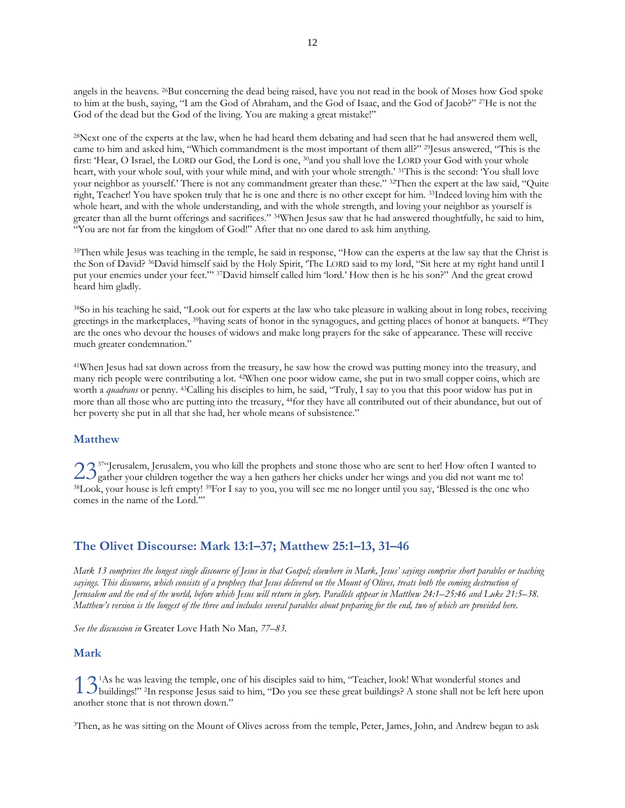angels in the heavens. 26But concerning the dead being raised, have you not read in the book of Moses how God spoke to him at the bush, saying, "I am the God of Abraham, and the God of Isaac, and the God of Jacob?" <sup>27</sup>He is not the God of the dead but the God of the living. You are making a great mistake!"

<sup>28</sup>Next one of the experts at the law, when he had heard them debating and had seen that he had answered them well, came to him and asked him, "Which commandment is the most important of them all?" 29Jesus answered, "This is the first: 'Hear, O Israel, the LORD our God, the Lord is one, 30and you shall love the LORD your God with your whole heart, with your whole soul, with your while mind, and with your whole strength.' 31This is the second: 'You shall love your neighbor as yourself.' There is not any commandment greater than these." <sup>32</sup>Then the expert at the law said, "Quite right, Teacher! You have spoken truly that he is one and there is no other except for him. 33Indeed loving him with the whole heart, and with the whole understanding, and with the whole strength, and loving your neighbor as yourself is greater than all the burnt offerings and sacrifices." 34When Jesus saw that he had answered thoughtfully, he said to him, "You are not far from the kingdom of God!" After that no one dared to ask him anything.

<sup>35</sup>Then while Jesus was teaching in the temple, he said in response, "How can the experts at the law say that the Christ is the Son of David? 36David himself said by the Holy Spirit, 'The LORD said to my lord, "Sit here at my right hand until I put your enemies under your feet."' 37David himself called him 'lord.' How then is he his son?" And the great crowd heard him gladly.

<sup>38</sup>So in his teaching he said, "Look out for experts at the law who take pleasure in walking about in long robes, receiving greetings in the marketplaces, 39having seats of honor in the synagogues, and getting places of honor at banquets. 40They are the ones who devour the houses of widows and make long prayers for the sake of appearance. These will receive much greater condemnation."

<sup>41</sup>When Jesus had sat down across from the treasury, he saw how the crowd was putting money into the treasury, and many rich people were contributing a lot. 42When one poor widow came, she put in two small copper coins, which are worth a *quadrans* or penny. 43Calling his disciples to him, he said, "Truly, I say to you that this poor widow has put in more than all those who are putting into the treasury, 44for they have all contributed out of their abundance, but out of her poverty she put in all that she had, her whole means of subsistence."

#### **Matthew**

<sup>37"</sup>Jerusalem, Jerusalem, you who kill the prophets and stone those who are sent to her! How often I wanted to  $23^{\frac{374}{9}}$ erusalem, Jerusalem, you who kill the prophets and stone those who are sent to her! How often I wanted gather your children together the way a hen gathers her chicks under her wings and you did not want me t <sup>38</sup>Look, your house is left empty! 39For I say to you, you will see me no longer until you say, 'Blessed is the one who comes in the name of the Lord.'"

### **The Olivet Discourse: Mark 13:1–37; Matthew 25:1–13, 31–46**

*Mark 13 comprises the longest single discourse of Jesus in that Gospel; elsewhere in Mark, Jesus' sayings comprise short parables or teaching sayings. This discourse, which consists of a prophecy that Jesus delivered on the Mount of Olives, treats both the coming destruction of Jerusalem and the end of the world, before which Jesus will return in glory. Parallels appear in Matthew 24:1–25:46 and Luke 21:5–38. Matthew's version is the longest of the three and includes several parables about preparing for the end, two of which are provided here.*

*See the discussion in* Greater Love Hath No Man*, 77–83.*

#### **Mark**

<sup>1</sup>As he was leaving the temple, one of his disciples said to him, "Teacher, look! What wonderful stones and 1 3<sup>1</sup>As he was leaving the temple, one of his disciples said to him, "Teacher, look! What wonderful stones and buildings!" <sup>2</sup>In response Jesus said to him, "Do you see these great buildings? A stone shall not be left her another stone that is not thrown down."

<sup>3</sup>Then, as he was sitting on the Mount of Olives across from the temple, Peter, James, John, and Andrew began to ask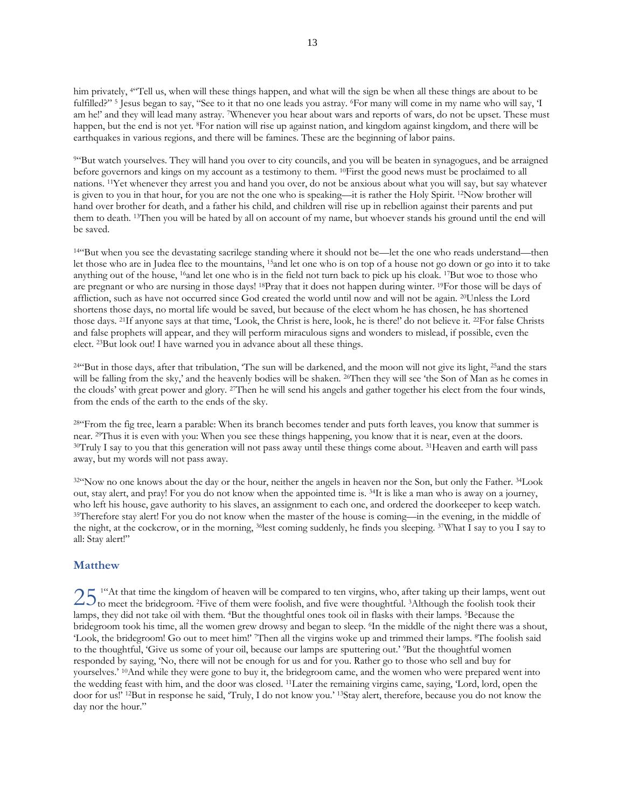him privately, <sup>46</sup> Tell us, when will these things happen, and what will the sign be when all these things are about to be fulfilled?"<sup>5</sup> Jesus began to say, "See to it that no one leads you astray. <sup>6</sup>For many will come in my name who will say, 'I am he!' and they will lead many astray. 7Whenever you hear about wars and reports of wars, do not be upset. These must happen, but the end is not yet. 8For nation will rise up against nation, and kingdom against kingdom, and there will be earthquakes in various regions, and there will be famines. These are the beginning of labor pains.

<sup>94</sup>But watch yourselves. They will hand you over to city councils, and you will be beaten in synagogues, and be arraigned before governors and kings on my account as a testimony to them. 10First the good news must be proclaimed to all nations. 11Yet whenever they arrest you and hand you over, do not be anxious about what you will say, but say whatever is given to you in that hour, for you are not the one who is speaking—it is rather the Holy Spirit. 12Now brother will hand over brother for death, and a father his child, and children will rise up in rebellion against their parents and put them to death. 13Then you will be hated by all on account of my name, but whoever stands his ground until the end will be saved.

<sup>14</sup>"But when you see the devastating sacrilege standing where it should not be—let the one who reads understand—then let those who are in Judea flee to the mountains, 15and let one who is on top of a house not go down or go into it to take anything out of the house, 16and let one who is in the field not turn back to pick up his cloak. 17But woe to those who are pregnant or who are nursing in those days! 18Pray that it does not happen during winter. 19For those will be days of affliction, such as have not occurred since God created the world until now and will not be again. 20Unless the Lord shortens those days, no mortal life would be saved, but because of the elect whom he has chosen, he has shortened those days. 21If anyone says at that time, 'Look, the Christ is here, look, he is there!' do not believe it. 22For false Christs and false prophets will appear, and they will perform miraculous signs and wonders to mislead, if possible, even the elect. 23But look out! I have warned you in advance about all these things.

<sup>24"</sup>But in those days, after that tribulation, 'The sun will be darkened, and the moon will not give its light, <sup>25</sup> and the stars will be falling from the sky,' and the heavenly bodies will be shaken. <sup>26</sup>Then they will see 'the Son of Man as he comes in the clouds' with great power and glory. 27Then he will send his angels and gather together his elect from the four winds, from the ends of the earth to the ends of the sky.

<sup>28</sup>"From the fig tree, learn a parable: When its branch becomes tender and puts forth leaves, you know that summer is near. 29Thus it is even with you: When you see these things happening, you know that it is near, even at the doors. <sup>30</sup>Truly I say to you that this generation will not pass away until these things come about. <sup>31</sup>Heaven and earth will pass away, but my words will not pass away.

32"Now no one knows about the day or the hour, neither the angels in heaven nor the Son, but only the Father. 34Look out, stay alert, and pray! For you do not know when the appointed time is. 34It is like a man who is away on a journey, who left his house, gave authority to his slaves, an assignment to each one, and ordered the doorkeeper to keep watch. <sup>35</sup>Therefore stay alert! For you do not know when the master of the house is coming—in the evening, in the middle of the night, at the cockcrow, or in the morning, <sup>36</sup>lest coming suddenly, he finds you sleeping. <sup>37</sup>What I say to you I say to all: Stay alert!"

### **Matthew**

<sup>1"</sup>At that time the kingdom of heaven will be compared to ten virgins, who, after taking up their lamps, went out  $25<sup>1</sup>$ that time the kingdom of heaven will be compared to ten virgins, who, after taking up their lamps, went of the meet the bridegroom. <sup>2</sup>Five of them were foolish, and five were thoughtful. <sup>3</sup>Although the foolis lamps, they did not take oil with them. 4But the thoughtful ones took oil in flasks with their lamps. 5Because the bridegroom took his time, all the women grew drowsy and began to sleep. 6In the middle of the night there was a shout, 'Look, the bridegroom! Go out to meet him!' 7Then all the virgins woke up and trimmed their lamps. 8The foolish said to the thoughtful, 'Give us some of your oil, because our lamps are sputtering out.' 9But the thoughtful women responded by saying, 'No, there will not be enough for us and for you. Rather go to those who sell and buy for yourselves.' 10And while they were gone to buy it, the bridegroom came, and the women who were prepared went into the wedding feast with him, and the door was closed. 11Later the remaining virgins came, saying, 'Lord, lord, open the door for us!' 12But in response he said, 'Truly, I do not know you.' 13Stay alert, therefore, because you do not know the day nor the hour."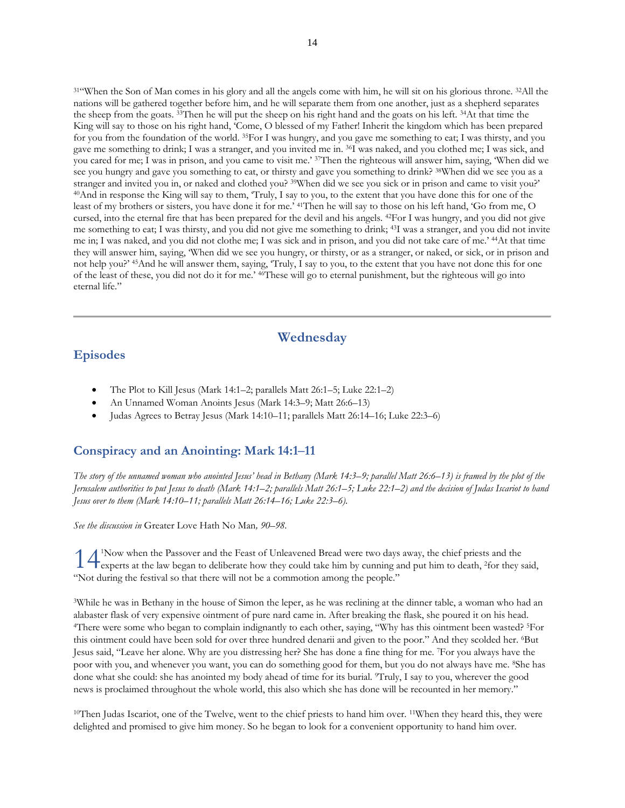<sup>31"</sup>When the Son of Man comes in his glory and all the angels come with him, he will sit on his glorious throne. <sup>32</sup>All the nations will be gathered together before him, and he will separate them from one another, just as a shepherd separates the sheep from the goats. 33Then he will put the sheep on his right hand and the goats on his left. 34At that time the King will say to those on his right hand, 'Come, O blessed of my Father! Inherit the kingdom which has been prepared for you from the foundation of the world. 35For I was hungry, and you gave me something to eat; I was thirsty, and you gave me something to drink; I was a stranger, and you invited me in. 36I was naked, and you clothed me; I was sick, and you cared for me; I was in prison, and you came to visit me.' 37Then the righteous will answer him, saying, 'When did we see you hungry and gave you something to eat, or thirsty and gave you something to drink? 38When did we see you as a stranger and invited you in, or naked and clothed you? 39When did we see you sick or in prison and came to visit you?' <sup>40</sup>And in response the King will say to them, 'Truly, I say to you, to the extent that you have done this for one of the least of my brothers or sisters, you have done it for me.' 41Then he will say to those on his left hand, 'Go from me, O cursed, into the eternal fire that has been prepared for the devil and his angels. 42For I was hungry, and you did not give me something to eat; I was thirsty, and you did not give me something to drink; 43I was a stranger, and you did not invite me in; I was naked, and you did not clothe me; I was sick and in prison, and you did not take care of me.' 44At that time they will answer him, saying, 'When did we see you hungry, or thirsty, or as a stranger, or naked, or sick, or in prison and not help you?' 45And he will answer them, saying, 'Truly, I say to you, to the extent that you have not done this for one of the least of these, you did not do it for me.' 46These will go to eternal punishment, but the righteous will go into eternal life."

# **Wednesday**

### <span id="page-13-0"></span>**Episodes**

- The Plot to Kill Jesus (Mark 14:1–2; parallels Matt 26:1–5; Luke 22:1–2)
- An Unnamed Woman Anoints Jesus (Mark 14:3–9; Matt 26:6–13)
- Judas Agrees to Betray Jesus (Mark 14:10–11; parallels Matt 26:14–16; Luke 22:3–6)

# **Conspiracy and an Anointing: Mark 14:1‒11**

*The story of the unnamed woman who anointed Jesus' head in Bethany (Mark 14:3–9; parallel Matt 26:6–13) is framed by the plot of the Jerusalem authorities to put Jesus to death (Mark 14:1–2; parallels Matt 26:1–5; Luke 22:1–2) and the decision of Judas Iscariot to hand Jesus over to them (Mark 14:10–11; parallels Matt 26:14–16; Luke 22:3–6).*

*See the discussion in* Greater Love Hath No Man*, 90–98.*

<sup>1</sup>Now when the Passover and the Feast of Unleavened Bread were two days away, the chief priests and the 1 4<sup>'Now</sup> when the Passover and the Feast of Unleavened Bread were two days away, the chief priests and the experts at the law began to deliberate how they could take him by cunning and put him to death, <sup>2</sup> for they said, "Not during the festival so that there will not be a commotion among the people."

<sup>3</sup>While he was in Bethany in the house of Simon the leper, as he was reclining at the dinner table, a woman who had an alabaster flask of very expensive ointment of pure nard came in. After breaking the flask, she poured it on his head. <sup>4</sup>There were some who began to complain indignantly to each other, saying, "Why has this ointment been wasted? 5For this ointment could have been sold for over three hundred denarii and given to the poor." And they scolded her. <sup>6</sup>But Jesus said, "Leave her alone. Why are you distressing her? She has done a fine thing for me. 7For you always have the poor with you, and whenever you want, you can do something good for them, but you do not always have me. 8She has done what she could: she has anointed my body ahead of time for its burial. 9Truly, I say to you, wherever the good news is proclaimed throughout the whole world, this also which she has done will be recounted in her memory."

 $10$ Then Judas Iscariot, one of the Twelve, went to the chief priests to hand him over.  $11$ When they heard this, they were delighted and promised to give him money. So he began to look for a convenient opportunity to hand him over.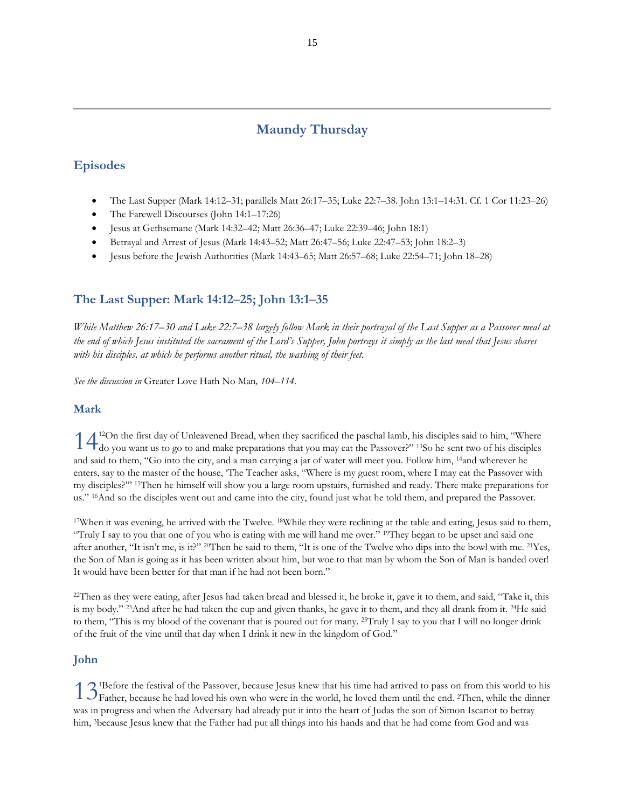# **Maundy Thursday**

# <span id="page-14-0"></span>**Episodes**

- The Last Supper (Mark 14:12–31; parallels Matt 26:17–35; Luke 22:7–38. John 13:1–14:31. Cf. 1 Cor 11:23‒26)
- The Farewell Discourses (John 14:1–17:26)
- Jesus at Gethsemane (Mark 14:32–42; Matt 26:36–47; Luke 22:39–46; John 18:1)
- Betrayal and Arrest of Jesus (Mark 14:43–52; Matt 26:47–56; Luke 22:47–53; John 18:2–3)
- Jesus before the Jewish Authorities (Mark 14:43–65; Matt 26:57–68; Luke 22:54–71; John 18–28)

# **The Last Supper: Mark 14:12‒25; John 13:1‒35**

*While Matthew 26:17–30 and Luke 22:7–38 largely follow Mark in their portrayal of the Last Supper as a Passover meal at the end of which Jesus instituted the sacrament of the Lord's Supper, John portrays it simply as the last meal that Jesus shares with his disciples, at which he performs another ritual, the washing of their feet.*

*See the discussion in* Greater Love Hath No Man*, 104–114.*

### **Mark**

<sup>12</sup>On the first day of Unleavened Bread, when they sacrificed the paschal lamb, his disciples said to him, "Where 1<sup>12</sup>On the first day of Unleavened Bread, when they sacrificed the paschal lamb, his disciples said to him, "Where do you want us to go to and make preparations that you may eat the Passover?" <sup>13</sup>So he sent two of his di and said to them, "Go into the city, and a man carrying a jar of water will meet you. Follow him, 14and wherever he enters, say to the master of the house, 'The Teacher asks, "Where is my guest room, where I may eat the Passover with my disciples?''' 15Then he himself will show you a large room upstairs, furnished and ready. There make preparations for us." <sup>16</sup>And so the disciples went out and came into the city, found just what he told them, and prepared the Passover.

<sup>17</sup>When it was evening, he arrived with the Twelve. 18While they were reclining at the table and eating, Jesus said to them, "Truly I say to you that one of you who is eating with me will hand me over." 19They began to be upset and said one after another, "It isn't me, is it?"  $^{20}$ Then he said to them, "It is one of the Twelve who dips into the bowl with me.  $^{21}$ Yes, the Son of Man is going as it has been written about him, but woe to that man by whom the Son of Man is handed over! It would have been better for that man if he had not been born."

<sup>22</sup>Then as they were eating, after Jesus had taken bread and blessed it, he broke it, gave it to them, and said, "Take it, this is my body." 23And after he had taken the cup and given thanks, he gave it to them, and they all drank from it. 24He said to them, "This is my blood of the covenant that is poured out for many. 25Truly I say to you that I will no longer drink of the fruit of the vine until that day when I drink it new in the kingdom of God."

# **John**

<sup>1</sup>Before the festival of the Passover, because Jesus knew that his time had arrived to pass on from this world to his 1 3<sup>1</sup>Before the festival of the Passover, because Jesus knew that his time had arrived to pass on from this world to his  $3$ <sup>1</sup>Before the festival of the Passover, because Jesus knew that his time had arrived to pass on f was in progress and when the Adversary had already put it into the heart of Judas the son of Simon Iscariot to betray him, <sup>3</sup>because Jesus knew that the Father had put all things into his hands and that he had come from God and was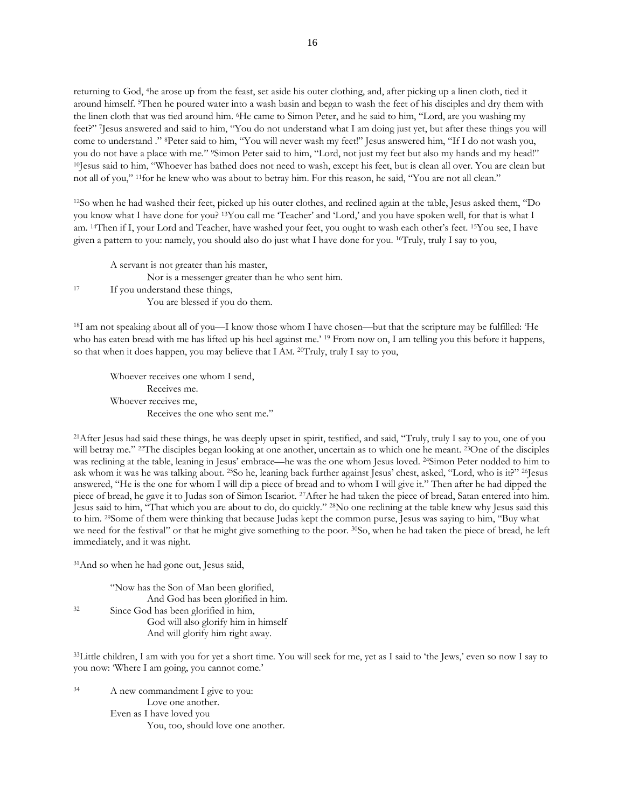returning to God, 4he arose up from the feast, set aside his outer clothing, and, after picking up a linen cloth, tied it around himself. 5Then he poured water into a wash basin and began to wash the feet of his disciples and dry them with the linen cloth that was tied around him. 6He came to Simon Peter, and he said to him, "Lord, are you washing my feet?" <sup>7</sup> Jesus answered and said to him, "You do not understand what I am doing just yet, but after these things you will come to understand ." 8Peter said to him, "You will never wash my feet!" Jesus answered him, "If I do not wash you, you do not have a place with me." 9Simon Peter said to him, "Lord, not just my feet but also my hands and my head!" <sup>10</sup>Jesus said to him, "Whoever has bathed does not need to wash, except his feet, but is clean all over. You are clean but not all of you," 11for he knew who was about to betray him. For this reason, he said, "You are not all clean."

<sup>12</sup>So when he had washed their feet, picked up his outer clothes, and reclined again at the table, Jesus asked them, "Do you know what I have done for you? 13You call me 'Teacher' and 'Lord,' and you have spoken well, for that is what I am. 14Then if I, your Lord and Teacher, have washed your feet, you ought to wash each other's feet. 15You see, I have given a pattern to you: namely, you should also do just what I have done for you. 16Truly, truly I say to you,

A servant is not greater than his master, Nor is a messenger greater than he who sent him. <sup>17</sup> If you understand these things, You are blessed if you do them.

<sup>18</sup>I am not speaking about all of you—I know those whom I have chosen—but that the scripture may be fulfilled: 'He who has eaten bread with me has lifted up his heel against me.' <sup>19</sup> From now on, I am telling you this before it happens, so that when it does happen, you may believe that I AM. <sup>20</sup>Truly, truly I say to you,

Whoever receives one whom I send, Receives me. Whoever receives me, Receives the one who sent me."

<sup>21</sup>After Jesus had said these things, he was deeply upset in spirit, testified, and said, "Truly, truly I say to you, one of you will betray me." <sup>22</sup>The disciples began looking at one another, uncertain as to which one he meant. <sup>23</sup>One of the disciples was reclining at the table, leaning in Jesus' embrace—he was the one whom Jesus loved. <sup>24</sup>Simon Peter nodded to him to ask whom it was he was talking about. <sup>25</sup>So he, leaning back further against Jesus' chest, asked, "Lord, who is it?" <sup>26</sup>Jesus answered, "He is the one for whom I will dip a piece of bread and to whom I will give it." Then after he had dipped the piece of bread, he gave it to Judas son of Simon Iscariot. 27After he had taken the piece of bread, Satan entered into him. Jesus said to him, "That which you are about to do, do quickly." 28No one reclining at the table knew why Jesus said this to him. 29Some of them were thinking that because Judas kept the common purse, Jesus was saying to him, "Buy what we need for the festival" or that he might give something to the poor. 30So, when he had taken the piece of bread, he left immediately, and it was night.

<sup>31</sup>And so when he had gone out, Jesus said,

"Now has the Son of Man been glorified, And God has been glorified in him. <sup>32</sup> Since God has been glorified in him, God will also glorify him in himself And will glorify him right away.

<sup>33</sup>Little children, I am with you for yet a short time. You will seek for me, yet as I said to 'the Jews,' even so now I say to you now: 'Where I am going, you cannot come.'

<sup>34</sup> A new commandment I give to you: Love one another. Even as I have loved you You, too, should love one another.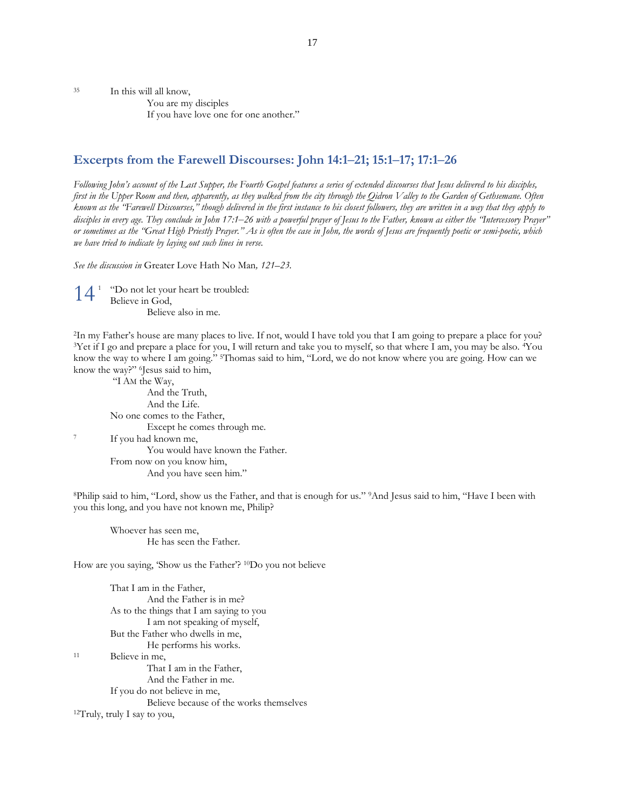<sup>35</sup> In this will all know,

You are my disciples If you have love one for one another."

### **Excerpts from the Farewell Discourses: John 14:1‒21; 15:1‒17; 17:1‒26**

*Following John's account of the Last Supper, the Fourth Gospel features a series of extended discourses that Jesus delivered to his disciples,*  first in the Upper Room and then, apparently, as they walked from the city through the Oidron Valley to the Garden of Gethsemane. Often *known as the "Farewell Discourses," though delivered in the first instance to his closest followers, they are written in a way that they apply to*  disciples in every age. They conclude in John 17:1–26 with a powerful prayer of Jesus to the Father, known as either the "Intercessory Prayer" *or sometimes as the "Great High Priestly Prayer." As is often the case in John, the words of Jesus are frequently poetic or semi-poetic, which we have tried to indicate by laying out such lines in verse.*

*See the discussion in* Greater Love Hath No Man*, 121–23.*

<sup>1</sup> "Do not let your heart be troubled: 14<sup>1</sup> "Do not let you<br>Believe in God, Believe also in me.

<sup>2</sup>In my Father's house are many places to live. If not, would I have told you that I am going to prepare a place for you? <sup>3</sup>Yet if I go and prepare a place for you, I will return and take you to myself, so that where I am, you may be also. <sup>4</sup>You know the way to where I am going." 5Thomas said to him, "Lord, we do not know where you are going. How can we know the way?" <sup>6</sup>Jesus said to him,

"I AM the Way, And the Truth, And the Life. No one comes to the Father, Except he comes through me. <sup>7</sup> If you had known me, You would have known the Father. From now on you know him, And you have seen him."

<sup>8</sup>Philip said to him, "Lord, show us the Father, and that is enough for us." 9And Jesus said to him, "Have I been with you this long, and you have not known me, Philip?

Whoever has seen me, He has seen the Father.

How are you saying, 'Show us the Father'? 10Do you not believe

That I am in the Father, And the Father is in me? As to the things that I am saying to you I am not speaking of myself, But the Father who dwells in me, He performs his works.  $11$  Believe in me, That I am in the Father, And the Father in me. If you do not believe in me, Believe because of the works themselves <sup>12</sup>Truly, truly I say to you,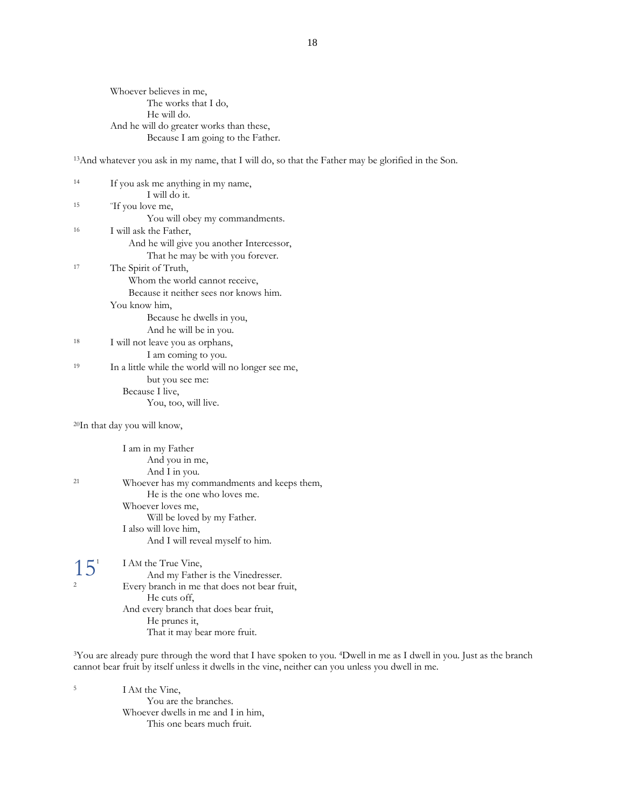| Whoever believes in me.                  |
|------------------------------------------|
| The works that I do,                     |
| He will do.                              |
| And he will do greater works than these, |
| Because I am going to the Father.        |

<sup>13</sup>And whatever you ask in my name, that I will do, so that the Father may be glorified in the Son.

| 14 | If you ask me anything in my name,                 |
|----|----------------------------------------------------|
|    | I will do it.                                      |
| 15 | "If you love me,                                   |
|    | You will obey my commandments.                     |
| 16 | I will ask the Father,                             |
|    | And he will give you another Intercessor,          |
|    | That he may be with you forever.                   |
| 17 | The Spirit of Truth,                               |
|    | Whom the world cannot receive,                     |
|    | Because it neither sees nor knows him.             |
|    | You know him,                                      |
|    | Because he dwells in you,                          |
|    | And he will be in you.                             |
| 18 | I will not leave you as orphans,                   |
|    | I am coming to you.                                |
| 19 | In a little while the world will no longer see me, |
|    | but you see me:                                    |
|    | Because I live,                                    |
|    | You, too, will live.                               |

<sup>20</sup>In that day you will know,

|    | I am in my Father                           |
|----|---------------------------------------------|
|    | And you in me,                              |
|    | And I in you.                               |
| 21 | Whoever has my commandments and keeps them, |
|    | He is the one who loves me.                 |
|    | Whoever loves me,                           |
|    | Will be loved by my Father.                 |
|    | I also will love him,                       |
|    | And I will reveal myself to him.            |
|    |                                             |

| $15^{\circ}$ | I AM the True Vine,                          |
|--------------|----------------------------------------------|
|              | And my Father is the Vinedresser.            |
| 2            | Every branch in me that does not bear fruit, |
|              | He cuts off,                                 |
|              | And every branch that does bear fruit,       |
|              | He prunes it,                                |
|              | That it may bear more fruit.                 |

<sup>3</sup>You are already pure through the word that I have spoken to you. <sup>4</sup>Dwell in me as I dwell in you. Just as the branch cannot bear fruit by itself unless it dwells in the vine, neither can you unless you dwell in me.

<sup>5</sup> I AM the Vine, You are the branches. Whoever dwells in me and I in him, This one bears much fruit.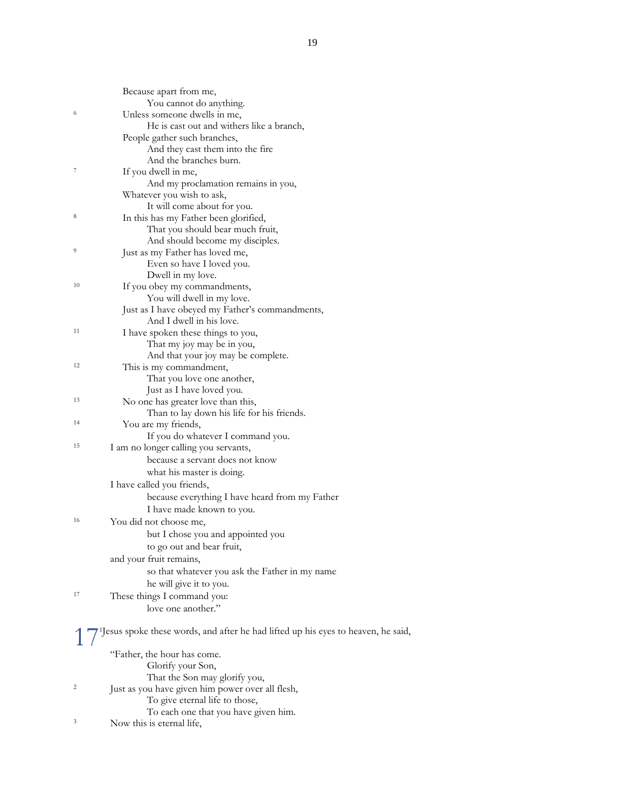People gather such branches, And they cast them into the fire And the branches burn. <sup>7</sup> If you dwell in me, And my proclamation remains in you, Whatever you wish to ask, It will come about for you. <sup>8</sup> In this has my Father been glorified, That you should bear much fruit, And should become my disciples. 9 Just as my Father has loved me, Even so have I loved you. Dwell in my love. <sup>10</sup>If you obey my commandments, You will dwell in my love. Just as I have obeyed my Father's commandments, And I dwell in his love. <sup>11</sup> I have spoken these things to you, That my joy may be in you, And that your joy may be complete. <sup>12</sup> This is my commandment, That you love one another, Just as I have loved you. <sup>13</sup> No one has greater love than this, Than to lay down his life for his friends. <sup>14</sup> You are my friends, If you do whatever I command you. <sup>15</sup> I am no longer calling you servants, because a servant does not know what his master is doing. I have called you friends, because everything I have heard from my Father I have made known to you. <sup>16</sup> You did not choose me, but I chose you and appointed you to go out and bear fruit, and your fruit remains, so that whatever you ask the Father in my name he will give it to you. 17 These things I command you: love one another." 1 Jesus spoke these words, and after he had lifted up his eyes to heaven, he said, "Father, the hour has come. Glorify your Son, That the Son may glorify you, 2 Just as you have given him power over all flesh, To give eternal life to those, To each one that you have given him. <sup>3</sup> Now this is eternal life, 17

Because apart from me,

<sup>6</sup> Unless someone dwells in me,

You cannot do anything.

He is cast out and withers like a branch,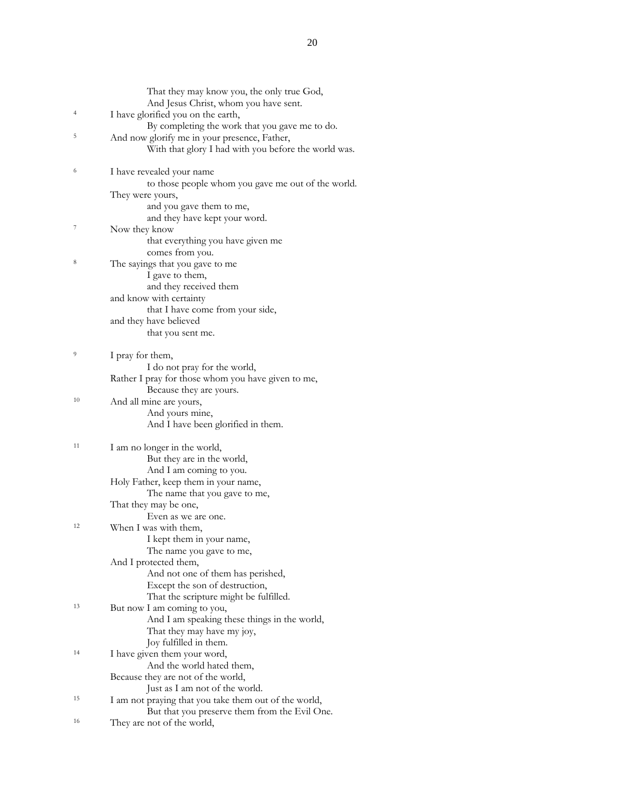|    | That they may know you, the only true God,            |
|----|-------------------------------------------------------|
|    | And Jesus Christ, whom you have sent.                 |
| 4  | I have glorified you on the earth,                    |
|    | By completing the work that you gave me to do.        |
| 5  | And now glorify me in your presence, Father,          |
|    | With that glory I had with you before the world was.  |
|    |                                                       |
| 6  | I have revealed your name                             |
|    | to those people whom you gave me out of the world.    |
|    | They were yours,                                      |
|    | and you gave them to me,                              |
|    | and they have kept your word.                         |
| 7  | Now they know                                         |
|    | that everything you have given me                     |
|    | comes from you.                                       |
| 8  | The sayings that you gave to me                       |
|    | I gave to them,                                       |
|    | and they received them                                |
|    | and know with certainty                               |
|    | that I have come from your side,                      |
|    | and they have believed                                |
|    | that you sent me.                                     |
|    |                                                       |
| 9  | I pray for them,                                      |
|    | I do not pray for the world,                          |
|    | Rather I pray for those whom you have given to me,    |
| 10 | Because they are yours.                               |
|    | And all mine are yours,                               |
|    | And yours mine,                                       |
|    | And I have been glorified in them.                    |
| 11 | I am no longer in the world,                          |
|    | But they are in the world,                            |
|    | And I am coming to you.                               |
|    | Holy Father, keep them in your name,                  |
|    | The name that you gave to me,                         |
|    | That they may be one,                                 |
|    | Even as we are one.                                   |
| 12 | When I was with them,                                 |
|    | I kept them in your name,                             |
|    | The name you gave to me,                              |
|    | And I protected them,                                 |
|    | And not one of them has perished,                     |
|    | Except the son of destruction,                        |
|    | That the scripture might be fulfilled.                |
| 13 | But now I am coming to you,                           |
|    | And I am speaking these things in the world,          |
|    | That they may have my joy,                            |
|    | Joy fulfilled in them.                                |
| 14 | I have given them your word,                          |
|    | And the world hated them,                             |
|    | Because they are not of the world,                    |
|    | Just as I am not of the world.                        |
| 15 | I am not praying that you take them out of the world, |
|    | But that you preserve them from the Evil One.         |
| 16 | They are not of the world,                            |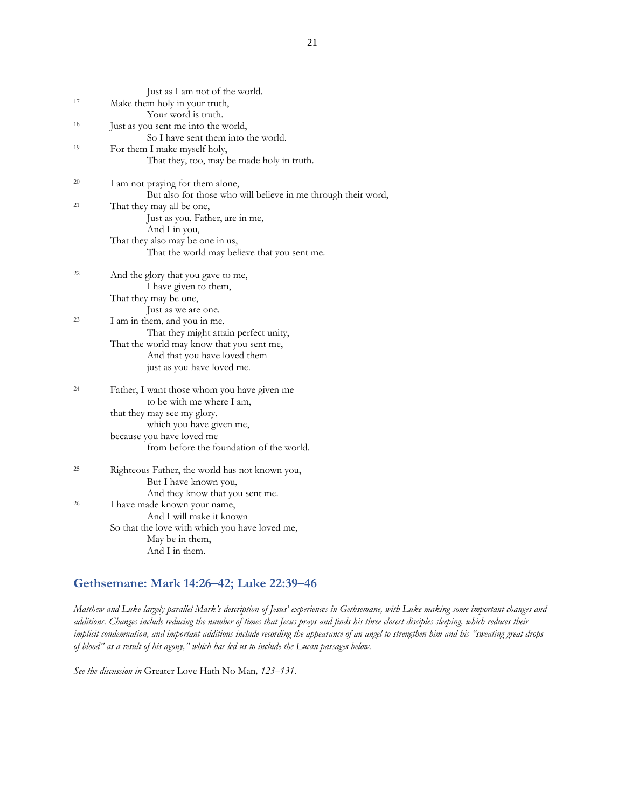|    | Just as I am not of the world.                                |
|----|---------------------------------------------------------------|
| 17 | Make them holy in your truth,                                 |
|    | Your word is truth.                                           |
| 18 | Just as you sent me into the world,                           |
|    | So I have sent them into the world.                           |
| 19 | For them I make myself holy,                                  |
|    | That they, too, may be made holy in truth.                    |
| 20 | I am not praying for them alone,                              |
|    | But also for those who will believe in me through their word, |
| 21 | That they may all be one,                                     |
|    | Just as you, Father, are in me,                               |
|    | And I in you,                                                 |
|    | That they also may be one in us,                              |
|    | That the world may believe that you sent me.                  |
| 22 | And the glory that you gave to me,                            |
|    | I have given to them,                                         |
|    | That they may be one,                                         |
|    | Just as we are one.                                           |
| 23 | I am in them, and you in me,                                  |
|    | That they might attain perfect unity,                         |
|    | That the world may know that you sent me,                     |
|    | And that you have loved them                                  |
|    | just as you have loved me.                                    |
| 24 | Father, I want those whom you have given me                   |
|    | to be with me where I am,                                     |
|    | that they may see my glory,                                   |
|    | which you have given me,                                      |
|    | because you have loved me                                     |
|    | from before the foundation of the world.                      |
| 25 | Righteous Father, the world has not known you,                |
|    | But I have known you,                                         |
|    | And they know that you sent me.                               |
| 26 | I have made known your name,                                  |
|    | And I will make it known                                      |
|    | So that the love with which you have loved me,                |
|    | May be in them,                                               |
|    | And I in them.                                                |

# **Gethsemane: Mark 14:26–42; Luke 22:39–46**

*Matthew and Luke largely parallel Mark's description of Jesus' experiences in Gethsemane, with Luke making some important changes and additions. Changes include reducing the number of times that Jesus prays and finds his three closest disciples sleeping, which reduces their implicit condemnation, and important additions include recording the appearance of an angel to strengthen him and his "sweating great drops of blood" as a result of his agony," which has led us to include the Lucan passages below.*

*See the discussion in* Greater Love Hath No Man*, 123–131.*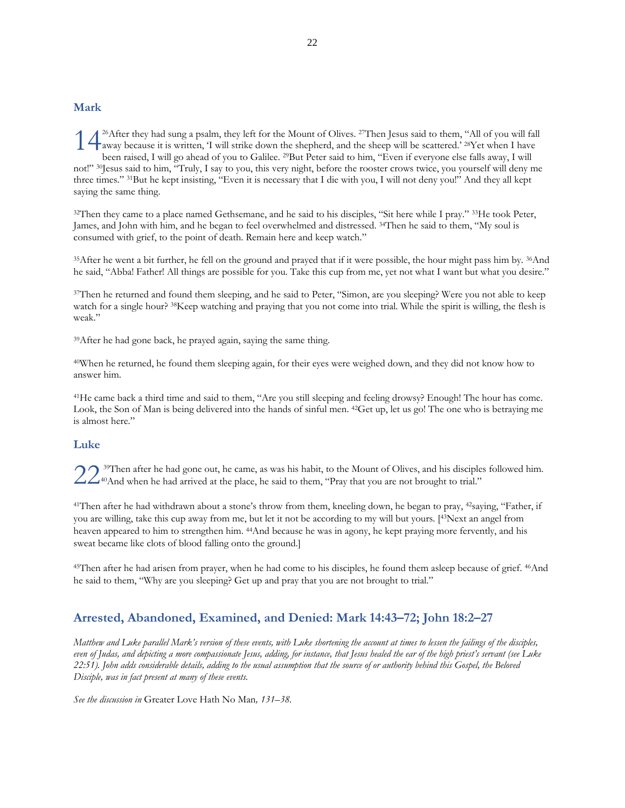### **Mark**

<sup>26</sup>After they had sung a psalm, they left for the Mount of Olives. 27Then Jesus said to them, "All of you will fall <sup>26</sup> After they had sung a psalm, they left for the Mount of Olives. <sup>27</sup>Then Jesus said to them, "All of you will fa away because it is written, 'I will strike down the shepherd, and the sheep will be scattered.' <sup>28</sup>Yet been raised, I will go ahead of you to Galilee. 29But Peter said to him, "Even if everyone else falls away, I will not!" 30Jesus said to him, "Truly, I say to you, this very night, before the rooster crows twice, you yourself will deny me three times." 31But he kept insisting, "Even it is necessary that I die with you, I will not deny you!" And they all kept saying the same thing.

<sup>32</sup>Then they came to a place named Gethsemane, and he said to his disciples, "Sit here while I pray." 33He took Peter, James, and John with him, and he began to feel overwhelmed and distressed. 34Then he said to them, "My soul is consumed with grief, to the point of death. Remain here and keep watch."

<sup>35</sup>After he went a bit further, he fell on the ground and prayed that if it were possible, the hour might pass him by. 36And he said, "Abba! Father! All things are possible for you. Take this cup from me, yet not what I want but what you desire."

<sup>37</sup>Then he returned and found them sleeping, and he said to Peter, "Simon, are you sleeping? Were you not able to keep watch for a single hour? <sup>38</sup>Keep watching and praying that you not come into trial. While the spirit is willing, the flesh is weak."

<sup>39</sup>After he had gone back, he prayed again, saying the same thing.

<sup>40</sup>When he returned, he found them sleeping again, for their eyes were weighed down, and they did not know how to answer him.

<sup>41</sup>He came back a third time and said to them, "Are you still sleeping and feeling drowsy? Enough! The hour has come. Look, the Son of Man is being delivered into the hands of sinful men. <sup>42</sup>Get up, let us go! The one who is betraying me is almost here."

#### **Luke**

<sup>39</sup>Then after he had gone out, he came, as was his habit, to the Mount of Olives, and his disciples followed him. <sup>40</sup>And when he had arrived at the place, he said to them, "Pray that you are not brought to trial." 22

<sup>41</sup>Then after he had withdrawn about a stone's throw from them, kneeling down, he began to pray, <sup>42</sup>saying, "Father, if you are willing, take this cup away from me, but let it not be according to my will but yours. [43Next an angel from heaven appeared to him to strengthen him. 44And because he was in agony, he kept praying more fervently, and his sweat became like clots of blood falling onto the ground.]

<sup>45</sup>Then after he had arisen from prayer, when he had come to his disciples, he found them asleep because of grief. <sup>46</sup>And he said to them, "Why are you sleeping? Get up and pray that you are not brought to trial."

### **Arrested, Abandoned, Examined, and Denied: Mark 14:43–72; John 18:2–27**

*Matthew and Luke parallel Mark's version of these events, with Luke shortening the account at times to lessen the failings of the disciples, even of Judas, and depicting a more compassionate Jesus, adding, for instance, that Jesus healed the ear of the high priest's servant (see Luke 22:51). John adds considerable details, adding to the usual assumption that the source of or authority behind this Gospel, the Beloved Disciple, was in fact present at many of these events.*

*See the discussion in* Greater Love Hath No Man*, 131–38.*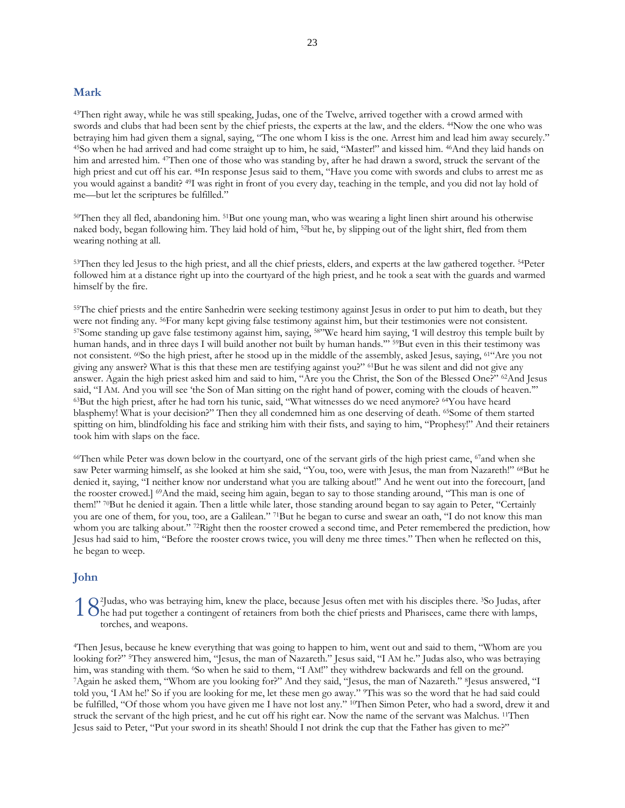#### **Mark**

<sup>43</sup>Then right away, while he was still speaking, Judas, one of the Twelve, arrived together with a crowd armed with swords and clubs that had been sent by the chief priests, the experts at the law, and the elders. 44Now the one who was betraying him had given them a signal, saying, "The one whom I kiss is the one. Arrest him and lead him away securely." <sup>45</sup>So when he had arrived and had come straight up to him, he said, "Master!" and kissed him. 46And they laid hands on him and arrested him. <sup>47</sup>Then one of those who was standing by, after he had drawn a sword, struck the servant of the high priest and cut off his ear. 48In response Jesus said to them, "Have you come with swords and clubs to arrest me as you would against a bandit? 49I was right in front of you every day, teaching in the temple, and you did not lay hold of me—but let the scriptures be fulfilled."

<sup>50</sup>Then they all fled, abandoning him. 51But one young man, who was wearing a light linen shirt around his otherwise naked body, began following him. They laid hold of him, 52but he, by slipping out of the light shirt, fled from them wearing nothing at all.

<sup>53</sup>Then they led Jesus to the high priest, and all the chief priests, elders, and experts at the law gathered together. 54Peter followed him at a distance right up into the courtyard of the high priest, and he took a seat with the guards and warmed himself by the fire.

<sup>55</sup>The chief priests and the entire Sanhedrin were seeking testimony against Jesus in order to put him to death, but they were not finding any. 56For many kept giving false testimony against him, but their testimonies were not consistent. 57Some standing up gave false testimony against him, saying, 58"We heard him saying, 'I will destroy this temple built by human hands, and in three days I will build another not built by human hands."<sup>59</sup>But even in this their testimony was not consistent. 60So the high priest, after he stood up in the middle of the assembly, asked Jesus, saying, 61"Are you not giving any answer? What is this that these men are testifying against you?" 61But he was silent and did not give any answer. Again the high priest asked him and said to him, "Are you the Christ, the Son of the Blessed One?" <sup>62</sup>And Jesus said, "I AM. And you will see 'the Son of Man sitting on the right hand of power, coming with the clouds of heaven.'" <sup>63</sup>But the high priest, after he had torn his tunic, said, "What witnesses do we need anymore? 64You have heard blasphemy! What is your decision?" Then they all condemned him as one deserving of death. 65Some of them started spitting on him, blindfolding his face and striking him with their fists, and saying to him, "Prophesy!" And their retainers took him with slaps on the face.

<sup>66</sup>Then while Peter was down below in the courtyard, one of the servant girls of the high priest came, <sup>67</sup>and when she saw Peter warming himself, as she looked at him she said, "You, too, were with Jesus, the man from Nazareth!" 68But he denied it, saying, "I neither know nor understand what you are talking about!" And he went out into the forecourt, [and the rooster crowed.] 69And the maid, seeing him again, began to say to those standing around, "This man is one of them!" 70But he denied it again. Then a little while later, those standing around began to say again to Peter, "Certainly you are one of them, for you, too, are a Galilean." 71But he began to curse and swear an oath, "I do not know this man whom you are talking about." <sup>72</sup>Right then the rooster crowed a second time, and Peter remembered the prediction, how Jesus had said to him, "Before the rooster crows twice, you will deny me three times." Then when he reflected on this, he began to weep.

### **John**

2 Judas, who was betraying him, knew the place, because Jesus often met with his disciples there. 3So Judas, after  $18<sup>2</sup>$ Judas, who was betraying him, knew the place, because Jesus often met with his disciples there. <sup>3</sup>So Judas, after  $\Omega$  he had put together a contingent of retainers from both the chief priests and Pharisees, c torches, and weapons.

<sup>4</sup>Then Jesus, because he knew everything that was going to happen to him, went out and said to them, "Whom are you looking for?" <sup>5</sup>They answered him, "Jesus, the man of Nazareth." Jesus said, "I AM he." Judas also, who was betraying him, was standing with them. <sup>6</sup>So when he said to them, "I AM!" they withdrew backwards and fell on the ground. <sup>7</sup>Again he asked them, "Whom are you looking for?" And they said, "Jesus, the man of Nazareth." <sup>8</sup> Jesus answered, "I told you, 'I AM he!' So if you are looking for me, let these men go away." 9This was so the word that he had said could be fulfilled, "Of those whom you have given me I have not lost any." <sup>10</sup>Then Simon Peter, who had a sword, drew it and struck the servant of the high priest, and he cut off his right ear. Now the name of the servant was Malchus. <sup>11</sup>Then Jesus said to Peter, "Put your sword in its sheath! Should I not drink the cup that the Father has given to me?"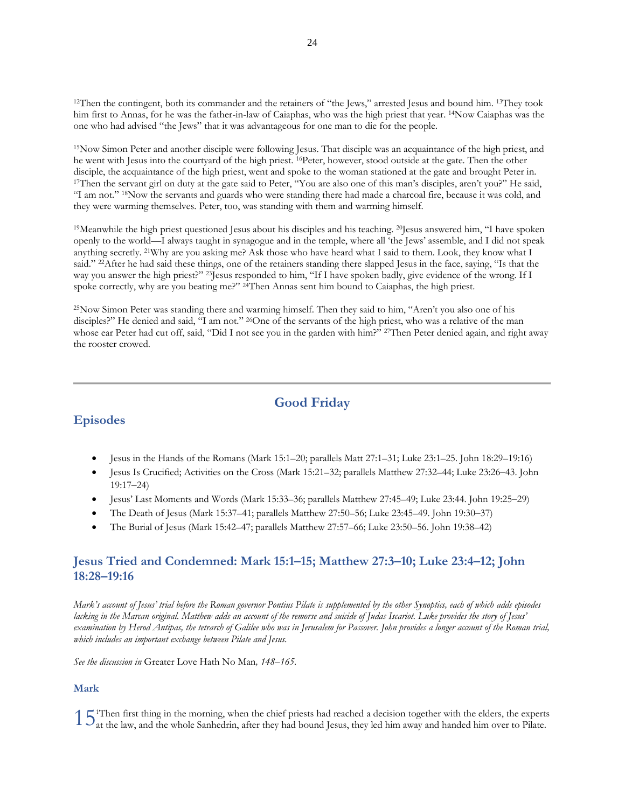<sup>12</sup>Then the contingent, both its commander and the retainers of "the Jews," arrested Jesus and bound him. <sup>13</sup>They took him first to Annas, for he was the father-in-law of Caiaphas, who was the high priest that year. 14Now Caiaphas was the one who had advised "the Jews" that it was advantageous for one man to die for the people.

<sup>15</sup>Now Simon Peter and another disciple were following Jesus. That disciple was an acquaintance of the high priest, and he went with Jesus into the courtyard of the high priest. 16Peter, however, stood outside at the gate. Then the other disciple, the acquaintance of the high priest, went and spoke to the woman stationed at the gate and brought Peter in. <sup>17</sup>Then the servant girl on duty at the gate said to Peter, "You are also one of this man's disciples, aren't you?" He said, "I am not." 18Now the servants and guards who were standing there had made a charcoal fire, because it was cold, and they were warming themselves. Peter, too, was standing with them and warming himself.

<sup>19</sup>Meanwhile the high priest questioned Jesus about his disciples and his teaching. <sup>20</sup>Jesus answered him, "I have spoken openly to the world—I always taught in synagogue and in the temple, where all 'the Jews' assemble, and I did not speak anything secretly. 21Why are you asking me? Ask those who have heard what I said to them. Look, they know what I said." <sup>22</sup>After he had said these things, one of the retainers standing there slapped Jesus in the face, saying, "Is that the way you answer the high priest?" <sup>23</sup>Jesus responded to him, "If I have spoken badly, give evidence of the wrong. If I spoke correctly, why are you beating me?" <sup>24</sup>Then Annas sent him bound to Caiaphas, the high priest.

<sup>25</sup>Now Simon Peter was standing there and warming himself. Then they said to him, "Aren't you also one of his disciples?" He denied and said, "I am not." <sup>26</sup>One of the servants of the high priest, who was a relative of the man whose ear Peter had cut off, said, "Did I not see you in the garden with him?" <sup>27</sup>Then Peter denied again, and right away the rooster crowed.

# **Good Friday**

# <span id="page-23-0"></span>**Episodes**

- Jesus in the Hands of the Romans (Mark 15:1–20; parallels Matt 27:1–31; Luke 23:1–25. John 18:29–19:16)
- Jesus Is Crucified; Activities on the Cross (Mark 15:21–32; parallels Matthew 27:32–44; Luke 23:26‒43. John 19:17‒24)
- Jesus' Last Moments and Words (Mark 15:33–36; parallels Matthew 27:45–49; Luke 23:44. John 19:25‒29)
- The Death of Jesus (Mark 15:37–41; parallels Matthew 27:50–56; Luke 23:45–49. John 19:30–37)
- The Burial of Jesus (Mark 15:42–47; parallels Matthew 27:57–66; Luke 23:50–56. John 19:38–42)

# **Jesus Tried and Condemned: Mark 15:1–15; Matthew 27:3–10; Luke 23:4–12; John 18:28–19:16**

*Mark's account of Jesus' trial before the Roman governor Pontius Pilate is supplemented by the other Synoptics, each of which adds episodes lacking in the Marcan original. Matthew adds an account of the remorse and suicide of Judas Iscariot. Luke provides the story of Jesus' examination by Herod Antipas, the tetrarch of Galilee who was in Jerusalem for Passover. John provides a longer account of the Roman trial, which includes an important exchange between Pilate and Jesus.*

*See the discussion in* Greater Love Hath No Man*, 148–165.*

### **Mark**

 $15^{\circ}$ Then first thing in the morning, when the chief priests had reached a decision together with the elders, the experts  $15^{\circ}$  at the law, and the whole Sanhedrin, after they had bound Jesus, they led him away and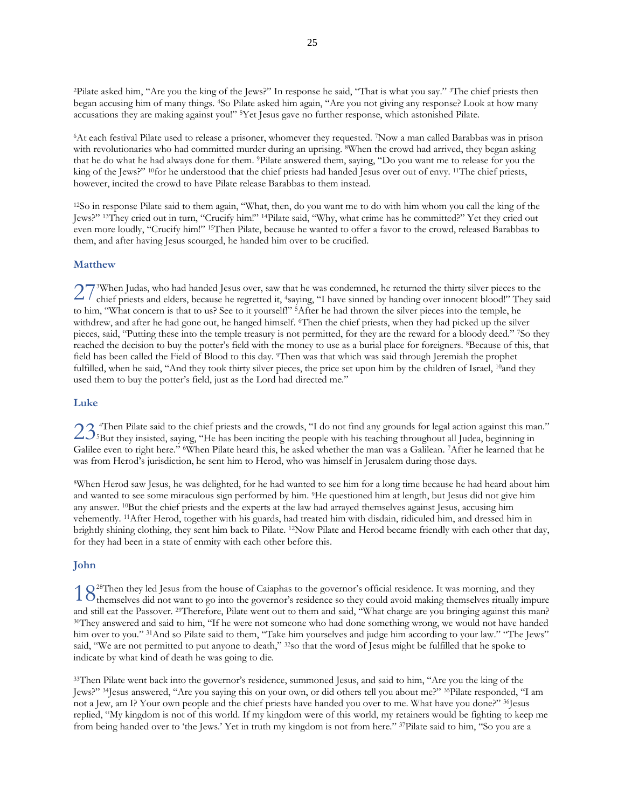<sup>2</sup>Pilate asked him, "Are you the king of the Jews?" In response he said, "That is what you say." <sup>3</sup>The chief priests then began accusing him of many things. 4So Pilate asked him again, "Are you not giving any response? Look at how many accusations they are making against you!" 5Yet Jesus gave no further response, which astonished Pilate.

<sup>6</sup>At each festival Pilate used to release a prisoner, whomever they requested. 7Now a man called Barabbas was in prison with revolutionaries who had committed murder during an uprising. <sup>8</sup>When the crowd had arrived, they began asking that he do what he had always done for them. 9Pilate answered them, saying, "Do you want me to release for you the king of the Jews?" <sup>10</sup>for he understood that the chief priests had handed Jesus over out of envy. <sup>11</sup>The chief priests, however, incited the crowd to have Pilate release Barabbas to them instead.

<sup>12</sup>So in response Pilate said to them again, "What, then, do you want me to do with him whom you call the king of the Jews?" 13They cried out in turn, "Crucify him!" 14Pilate said, "Why, what crime has he committed?" Yet they cried out even more loudly, "Crucify him!" 15Then Pilate, because he wanted to offer a favor to the crowd, released Barabbas to them, and after having Jesus scourged, he handed him over to be crucified.

#### **Matthew**

<sup>3</sup>When Judas, who had handed Jesus over, saw that he was condemned, he returned the thirty silver pieces to the  $27<sup>3</sup>$ When Judas, who had handed Jesus over, saw that he was condemned, he returned the thirty silver pieces to the chief priests and elders, because he regretted it, 4saying, "I have sinned by handing over innocent to him, "What concern is that to us? See to it yourself!" <sup>5</sup>After he had thrown the silver pieces into the temple, he withdrew, and after he had gone out, he hanged himself. <sup>6</sup>Then the chief priests, when they had picked up the silver pieces, said, "Putting these into the temple treasury is not permitted, for they are the reward for a bloody deed." 7So they reached the decision to buy the potter's field with the money to use as a burial place for foreigners. 8Because of this, that field has been called the Field of Blood to this day. 9Then was that which was said through Jeremiah the prophet fulfilled, when he said, "And they took thirty silver pieces, the price set upon him by the children of Israel, <sup>10</sup>and they used them to buy the potter's field, just as the Lord had directed me."

#### **Luke**

<sup>4</sup>Then Pilate said to the chief priests and the crowds, "I do not find any grounds for legal action against this man."  $23$ <sup> $4$ Then Pilate said to the chief priests and the crowds, "I do not find any grounds for legal action against this ma<br> $23$ <sup> $4$ </sup>But they insisted, saying, "He has been inciting the people with his teaching throughout a</sup> Galilee even to right here." 6When Pilate heard this, he asked whether the man was a Galilean. 7After he learned that he was from Herod's jurisdiction, he sent him to Herod, who was himself in Jerusalem during those days.

<sup>8</sup>When Herod saw Jesus, he was delighted, for he had wanted to see him for a long time because he had heard about him and wanted to see some miraculous sign performed by him. 9He questioned him at length, but Jesus did not give him any answer. 10But the chief priests and the experts at the law had arrayed themselves against Jesus, accusing him vehemently. 11After Herod, together with his guards, had treated him with disdain, ridiculed him, and dressed him in brightly shining clothing, they sent him back to Pilate. 12Now Pilate and Herod became friendly with each other that day, for they had been in a state of enmity with each other before this.

#### **John**

<sup>28</sup>Then they led Jesus from the house of Caiaphas to the governor's official residence. It was morning, and they  $18<sup>28</sup>$ Then they led Jesus from the house of Caiaphas to the governor's official residence. It was morning, and they themselves did not want to go into the governor's residence so they could avoid making themselves r and still eat the Passover. 29Therefore, Pilate went out to them and said, "What charge are you bringing against this man? <sup>30</sup>They answered and said to him, "If he were not someone who had done something wrong, we would not have handed him over to you." <sup>31</sup>And so Pilate said to them, "Take him yourselves and judge him according to your law." "The Jews" said, "We are not permitted to put anyone to death," 32so that the word of Jesus might be fulfilled that he spoke to indicate by what kind of death he was going to die.

<sup>33</sup>Then Pilate went back into the governor's residence, summoned Jesus, and said to him, "Are you the king of the Jews?" 34Jesus answered, "Are you saying this on your own, or did others tell you about me?" 35Pilate responded, "I am not a Jew, am I? Your own people and the chief priests have handed you over to me. What have you done?" <sup>36</sup>Jesus replied, "My kingdom is not of this world. If my kingdom were of this world, my retainers would be fighting to keep me from being handed over to 'the Jews.' Yet in truth my kingdom is not from here." 37Pilate said to him, "So you are a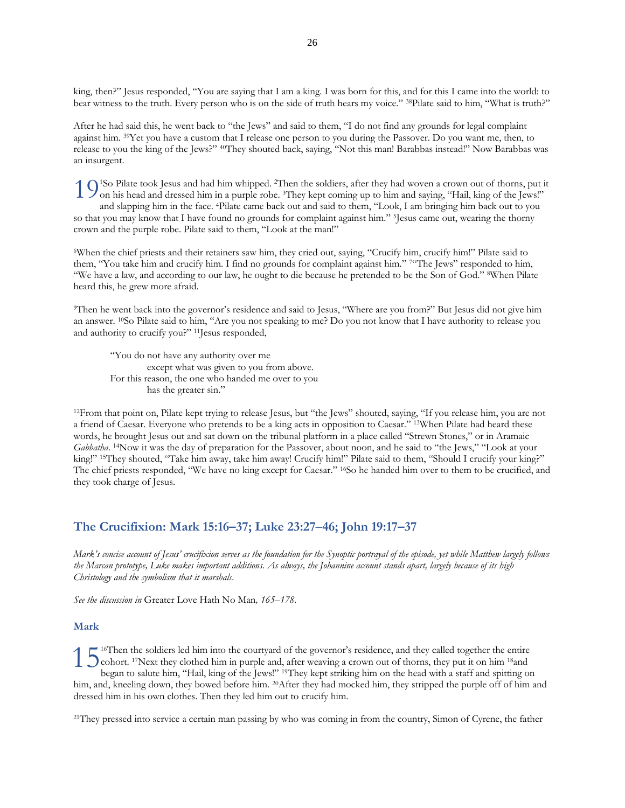king, then?" Jesus responded, "You are saying that I am a king. I was born for this, and for this I came into the world: to bear witness to the truth. Every person who is on the side of truth hears my voice." <sup>38</sup>Pilate said to him, "What is truth?"

After he had said this, he went back to "the Jews" and said to them, "I do not find any grounds for legal complaint against him. 39Yet you have a custom that I release one person to you during the Passover. Do you want me, then, to release to you the king of the Jews?" 40They shouted back, saying, "Not this man! Barabbas instead!" Now Barabbas was an insurgent.

<sup>1</sup>So Pilate took Jesus and had him whipped. 2Then the soldiers, after they had woven a crown out of thorns, put it 1 O<sup>1</sup>So Pilate took Jesus and had him whipped. <sup>2</sup>Then the soldiers, after they had woven a crown out of thorns, put is on his head and dressed him in a purple robe. <sup>3</sup>They kept coming up to him and saying, "Hail, king o and slapping him in the face. 4Pilate came back out and said to them, "Look, I am bringing him back out to you so that you may know that I have found no grounds for complaint against him." <sup>5</sup> Jesus came out, wearing the thorny crown and the purple robe. Pilate said to them, "Look at the man!"

<sup>6</sup>When the chief priests and their retainers saw him, they cried out, saying, "Crucify him, crucify him!" Pilate said to them, "You take him and crucify him. I find no grounds for complaint against him." 7"The Jews" responded to him, "We have a law, and according to our law, he ought to die because he pretended to be the Son of God." <sup>8</sup>When Pilate heard this, he grew more afraid.

<sup>9</sup>Then he went back into the governor's residence and said to Jesus, "Where are you from?" But Jesus did not give him an answer. 10So Pilate said to him, "Are you not speaking to me? Do you not know that I have authority to release you and authority to crucify you?" 11Jesus responded,

"You do not have any authority over me except what was given to you from above. For this reason, the one who handed me over to you has the greater sin."

<sup>12</sup>From that point on, Pilate kept trying to release Jesus, but "the Jews" shouted, saying, "If you release him, you are not a friend of Caesar. Everyone who pretends to be a king acts in opposition to Caesar." 13When Pilate had heard these words, he brought Jesus out and sat down on the tribunal platform in a place called "Strewn Stones," or in Aramaic Gabbatha. <sup>14</sup>Now it was the day of preparation for the Passover, about noon, and he said to "the Jews," "Look at your king!" <sup>15</sup>They shouted, "Take him away, take him away! Crucify him!" Pilate said to them, "Should I crucify your king?" The chief priests responded, "We have no king except for Caesar." 16So he handed him over to them to be crucified, and they took charge of Jesus.

### **The Crucifixion: Mark 15:16–37; Luke 23:27‒46; John 19:17–37**

*Mark's concise account of Jesus' crucifixion serves as the foundation for the Synoptic portrayal of the episode, yet while Matthew largely follows the Marcan prototype, Luke makes important additions. As always, the Johannine account stands apart, largely because of its high Christology and the symbolism that it marshals.*

*See the discussion in* Greater Love Hath No Man*, 165–178.*

#### **Mark**

<sup>16</sup>Then the soldiers led him into the courtyard of the governor's residence, and they called together the entire <sup>16</sup>Then the soldiers led him into the courtyard of the governor's residence, and they called together the entire<br> **15** cohort. <sup>17</sup>Next they clothed him in purple and, after weaving a crown out of thorns, they put it on h began to salute him, "Hail, king of the Jews!" 19They kept striking him on the head with a staff and spitting on him, and, kneeling down, they bowed before him. <sup>20</sup>After they had mocked him, they stripped the purple off of him and dressed him in his own clothes. Then they led him out to crucify him.

<sup>21</sup>They pressed into service a certain man passing by who was coming in from the country, Simon of Cyrene, the father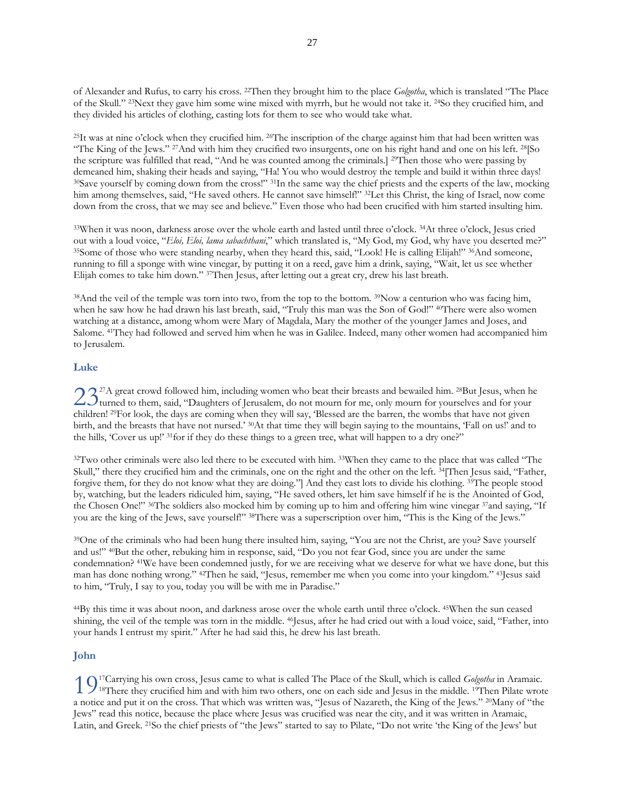of Alexander and Rufus, to carry his cross. 22Then they brought him to the place *Golgotha*, which is translated "The Place of the Skull." 23Next they gave him some wine mixed with myrrh, but he would not take it. 24So they crucified him, and they divided his articles of clothing, casting lots for them to see who would take what.

 $^{25}$ It was at nine o'clock when they crucified him.  $^{26}$ The inscription of the charge against him that had been written was "The King of the Jews." 27And with him they crucified two insurgents, one on his right hand and one on his left. 28[So the scripture was fulfilled that read, "And he was counted among the criminals.] 29Then those who were passing by demeaned him, shaking their heads and saying, "Ha! You who would destroy the temple and build it within three days! <sup>30</sup>Save yourself by coming down from the cross!" <sup>31</sup>In the same way the chief priests and the experts of the law, mocking him among themselves, said, "He saved others. He cannot save himself!" <sup>32</sup>Let this Christ, the king of Israel, now come down from the cross, that we may see and believe." Even those who had been crucified with him started insulting him.

<sup>33</sup>When it was noon, darkness arose over the whole earth and lasted until three o'clock. <sup>34</sup>At three o'clock, Jesus cried out with a loud voice, "*Eloi, Eloi, lama sabachthani*," which translated is, "My God, my God, why have you deserted me?" <sup>35</sup>Some of those who were standing nearby, when they heard this, said, "Look! He is calling Elijah!" <sup>36</sup>And someone, running to fill a sponge with wine vinegar, by putting it on a reed, gave him a drink, saying, "Wait, let us see whether Elijah comes to take him down." 37Then Jesus, after letting out a great cry, drew his last breath.

<sup>38</sup>And the veil of the temple was torn into two, from the top to the bottom. <sup>39</sup>Now a centurion who was facing him, when he saw how he had drawn his last breath, said, "Truly this man was the Son of God!" <sup>40</sup>There were also women watching at a distance, among whom were Mary of Magdala, Mary the mother of the younger James and Joses, and Salome. 41They had followed and served him when he was in Galilee. Indeed, many other women had accompanied him to Jerusalem.

#### **Luke**

<sup>27</sup>A great crowd followed him, including women who beat their breasts and bewailed him. <sup>28</sup>But Jesus, when he 23<sup>27</sup>A great crowd followed him, including women who beat their breasts and bewailed him. <sup>28</sup>But Jesus, when he turned to them, said, "Daughters of Jerusalem, do not mourn for me, only mourn for yourselves and for your children! 29For look, the days are coming when they will say, 'Blessed are the barren, the wombs that have not given birth, and the breasts that have not nursed.' 30At that time they will begin saying to the mountains, 'Fall on us!' and to the hills, 'Cover us up!' 31for if they do these things to a green tree, what will happen to a dry one?"

<sup>32</sup>Two other criminals were also led there to be executed with him. 33When they came to the place that was called "The Skull," there they crucified him and the criminals, one on the right and the other on the left. 34[Then Jesus said, "Father, forgive them, for they do not know what they are doing."] And they cast lots to divide his clothing. 35The people stood by, watching, but the leaders ridiculed him, saying, "He saved others, let him save himself if he is the Anointed of God, the Chosen One!" 36The soldiers also mocked him by coming up to him and offering him wine vinegar 37and saying, "If you are the king of the Jews, save yourself!" 38There was a superscription over him, "This is the King of the Jews."

<sup>39</sup>One of the criminals who had been hung there insulted him, saying, "You are not the Christ, are you? Save yourself and us!" 40But the other, rebuking him in response, said, "Do you not fear God, since you are under the same condemnation? 41We have been condemned justly, for we are receiving what we deserve for what we have done, but this man has done nothing wrong." 42Then he said, "Jesus, remember me when you come into your kingdom." 43Jesus said to him, "Truly, I say to you, today you will be with me in Paradise."

<sup>44</sup>By this time it was about noon, and darkness arose over the whole earth until three o'clock. 45When the sun ceased shining, the veil of the temple was torn in the middle. <sup>46</sup>Jesus, after he had cried out with a loud voice, said, "Father, into your hands I entrust my spirit." After he had said this, he drew his last breath.

#### **John**

<sup>17</sup>Carrying his own cross, Jesus came to what is called The Place of the Skull, which is called *Golgotha* in Aramaic. 19<sup>17</sup>Carrying his own cross, Jesus came to what is called The Place of the Skull, which is called *Golgotha* in Aramaic.<br>19<sup>18</sup>There they crucified him and with him two others, one on each side and Jesus in the middle. <sup>1</sup> a notice and put it on the cross. That which was written was, "Jesus of Nazareth, the King of the Jews." 20Many of "the Jews" read this notice, because the place where Jesus was crucified was near the city, and it was written in Aramaic, Latin, and Greek. 21So the chief priests of "the Jews" started to say to Pilate, "Do not write 'the King of the Jews' but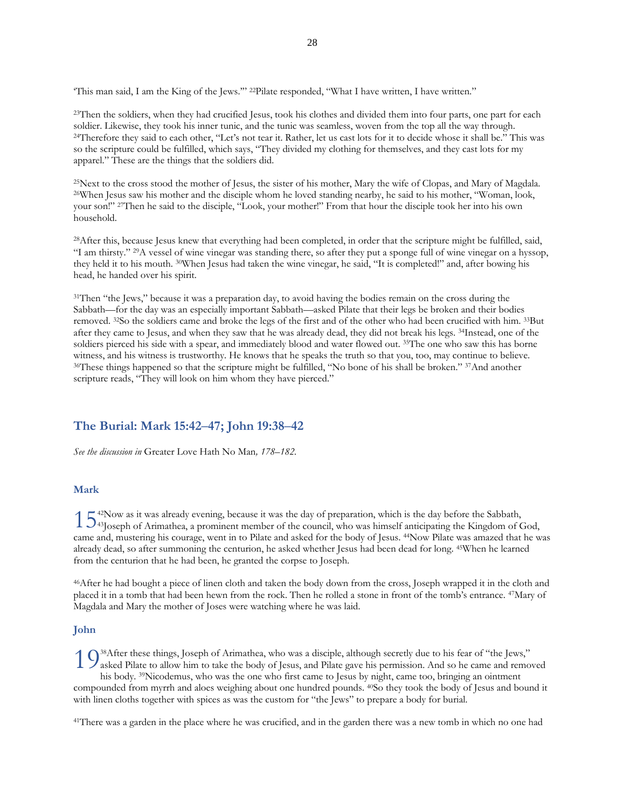'This man said, I am the King of the Jews.'" 22Pilate responded, "What I have written, I have written."

<sup>23</sup>Then the soldiers, when they had crucified Jesus, took his clothes and divided them into four parts, one part for each soldier. Likewise, they took his inner tunic, and the tunic was seamless, woven from the top all the way through. <sup>24</sup>Therefore they said to each other, "Let's not tear it. Rather, let us cast lots for it to decide whose it shall be." This was so the scripture could be fulfilled, which says, "They divided my clothing for themselves, and they cast lots for my apparel." These are the things that the soldiers did.

<sup>25</sup>Next to the cross stood the mother of Jesus, the sister of his mother, Mary the wife of Clopas, and Mary of Magdala. <sup>26</sup>When Jesus saw his mother and the disciple whom he loved standing nearby, he said to his mother, "Woman, look, your son!" 27Then he said to the disciple, "Look, your mother!" From that hour the disciple took her into his own household.

<sup>28</sup>After this, because Jesus knew that everything had been completed, in order that the scripture might be fulfilled, said, "I am thirsty." 29A vessel of wine vinegar was standing there, so after they put a sponge full of wine vinegar on a hyssop, they held it to his mouth. 30When Jesus had taken the wine vinegar, he said, "It is completed!" and, after bowing his head, he handed over his spirit.

<sup>31</sup>Then "the Jews," because it was a preparation day, to avoid having the bodies remain on the cross during the Sabbath—for the day was an especially important Sabbath—asked Pilate that their legs be broken and their bodies removed. 32So the soldiers came and broke the legs of the first and of the other who had been crucified with him. 33But after they came to Jesus, and when they saw that he was already dead, they did not break his legs. 34Instead, one of the soldiers pierced his side with a spear, and immediately blood and water flowed out. 35The one who saw this has borne witness, and his witness is trustworthy. He knows that he speaks the truth so that you, too, may continue to believe. <sup>36</sup>These things happened so that the scripture might be fulfilled, "No bone of his shall be broken." <sup>37</sup>And another scripture reads, "They will look on him whom they have pierced."

# **The Burial: Mark 15:42‒47; John 19:38‒42**

*See the discussion in* Greater Love Hath No Man*, 178–182.*

#### **Mark**

<sup>42</sup>Now as it was already evening, because it was the day of preparation, which is the day before the Sabbath, 15<sup>42</sup>Now as it was already evening, because it was the day of preparation, which is the day before the Sabbath,<br>15<sup>43</sup>Joseph of Arimathea, a prominent member of the council, who was himself anticipating the Kingdom of God came and, mustering his courage, went in to Pilate and asked for the body of Jesus. 44Now Pilate was amazed that he was already dead, so after summoning the centurion, he asked whether Jesus had been dead for long. 45When he learned from the centurion that he had been, he granted the corpse to Joseph.

<sup>46</sup>After he had bought a piece of linen cloth and taken the body down from the cross, Joseph wrapped it in the cloth and placed it in a tomb that had been hewn from the rock. Then he rolled a stone in front of the tomb's entrance. 47Mary of Magdala and Mary the mother of Joses were watching where he was laid.

#### **John**

<sup>38</sup>After these things, Joseph of Arimathea, who was a disciple, although secretly due to his fear of "the Jews," 1  $\int_{a}^{38}$ After these things, Joseph of Arimathea, who was a disciple, although secretly due to his fear of "the Jews,"<br>asked Pilate to allow him to take the body of Jesus, and Pilate gave his permission. And so he came his body. 39Nicodemus, who was the one who first came to Jesus by night, came too, bringing an ointment compounded from myrrh and aloes weighing about one hundred pounds. 40So they took the body of Jesus and bound it with linen cloths together with spices as was the custom for "the Jews" to prepare a body for burial.

<sup>41</sup>There was a garden in the place where he was crucified, and in the garden there was a new tomb in which no one had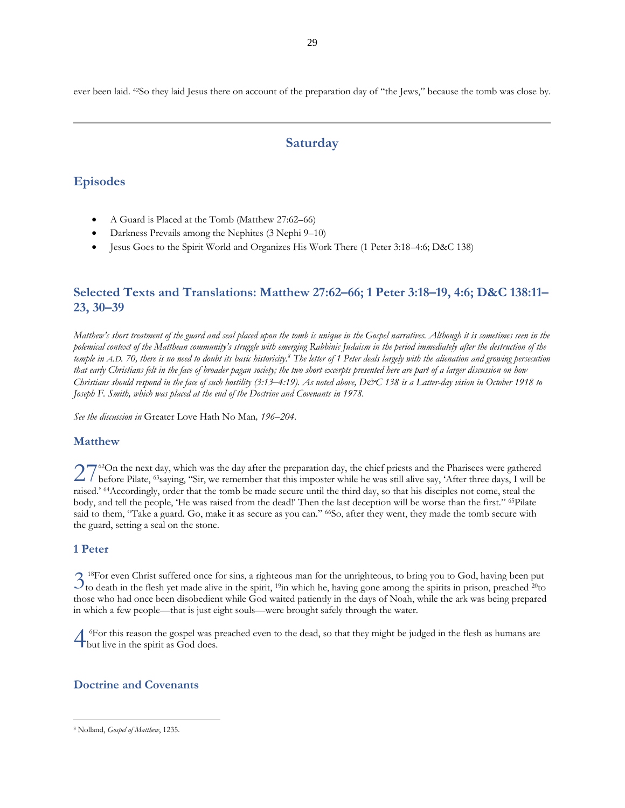ever been laid. 42So they laid Jesus there on account of the preparation day of "the Jews," because the tomb was close by.

# **Saturday**

# <span id="page-28-0"></span>**Episodes**

- A Guard is Placed at the Tomb (Matthew 27:62–66)
- Darkness Prevails among the Nephites (3 Nephi 9–10)
- Jesus Goes to the Spirit World and Organizes His Work There (1 Peter 3:18–4:6; D&C 138)

# **Selected Texts and Translations: Matthew 27:62–66; 1 Peter 3:18–19, 4:6; D&C 138:11– 23, 30–39**

*Matthew's short treatment of the guard and seal placed upon the tomb is unique in the Gospel narratives. Although it is sometimes seen in the polemical context of the Matthean community's struggle with emerging Rabbinic Judaism in the period immediately after the destruction of the temple in A.D. 70, there is no need to doubt its basic historicity.<sup>8</sup> The letter of 1 Peter deals largely with the alienation and growing persecution that early Christians felt in the face of broader pagan society; the two short excerpts presented here are part of a larger discussion on how Christians should respond in the face of such hostility (3:13‒4:19). As noted above, D&C 138 is a Latter-day vision in October 1918 to Joseph F. Smith, which was placed at the end of the Doctrine and Covenants in 1978.*

*See the discussion in* Greater Love Hath No Man*, 196–204.*

# **Matthew**

<sup>62</sup>On the next day, which was the day after the preparation day, the chief priests and the Pharisees were gathered  $27^{\circ}$ On the next day, which was the day after the preparation day, the chief priests and the Pharisees were gathered before Pilate,  $\frac{63}{\text{saying}}$ , "Sir, we remember that this imposter while he was still alive say, 'Af raised.' 64Accordingly, order that the tomb be made secure until the third day, so that his disciples not come, steal the body, and tell the people, 'He was raised from the dead!' Then the last deception will be worse than the first." <sup>65</sup>Pilate said to them, "Take a guard. Go, make it as secure as you can." <sup>66</sup>So, after they went, they made the tomb secure with the guard, setting a seal on the stone.

# **1 Peter**

<sup>18</sup>For even Christ suffered once for sins, a righteous man for the unrighteous, to bring you to God, having been put  $3^{18}$ For even Christ suffered once for sins, a righteous man for the unrighteous, to bring you to God, having been put to death in the flesh yet made alive in the spirit, <sup>19</sup>in which he, having gone among the spirits i those who had once been disobedient while God waited patiently in the days of Noah, while the ark was being prepared in which a few people—that is just eight souls—were brought safely through the water.

<sup>6</sup>For this reason the gospel was preached even to the dead, so that they might be judged in the flesh as humans are **4** <sup>6</sup>For this reason the gospel was p but live in the spirit as God does.

# **Doctrine and Covenants**

<sup>8</sup> Nolland, *Gospel of Matthew*, 1235.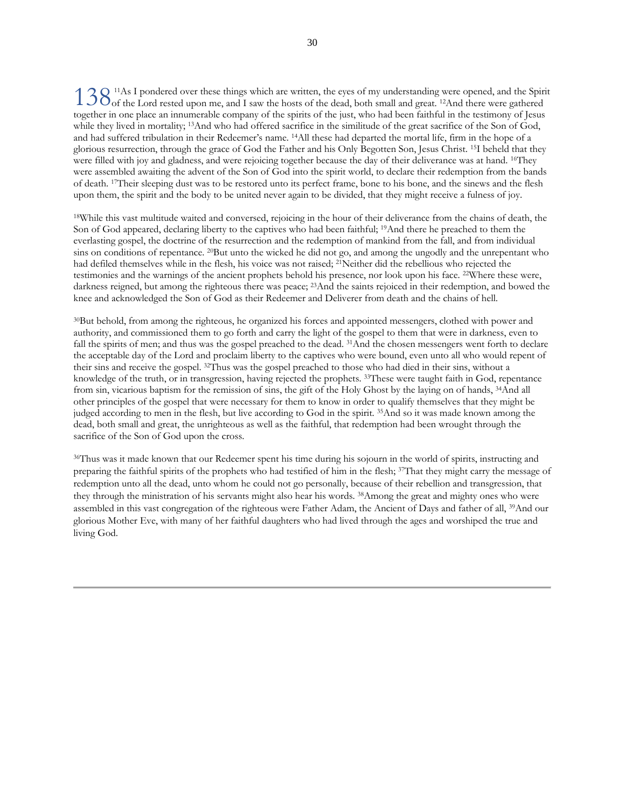<sup>11</sup>As I pondered over these things which are written, the eyes of my understanding were opened, and the Spirit 138<sup>11</sup>As I pondered over these things which are written, the eyes of my understanding were opened, and the Spirited 1386 of the Lord rested upon me, and I saw the hosts of the dead, both small and great. <sup>12</sup>And there wer together in one place an innumerable company of the spirits of the just, who had been faithful in the testimony of Jesus while they lived in mortality; <sup>13</sup>And who had offered sacrifice in the similitude of the great sacrifice of the Son of God, and had suffered tribulation in their Redeemer's name. 14All these had departed the mortal life, firm in the hope of a glorious resurrection, through the grace of God the Father and his Only Begotten Son, Jesus Christ. 15I beheld that they were filled with joy and gladness, and were rejoicing together because the day of their deliverance was at hand. <sup>16</sup>They were assembled awaiting the advent of the Son of God into the spirit world, to declare their redemption from the bands of death. 17Their sleeping dust was to be restored unto its perfect frame, bone to his bone, and the sinews and the flesh upon them, the spirit and the body to be united never again to be divided, that they might receive a fulness of joy.

<sup>18</sup>While this vast multitude waited and conversed, rejoicing in the hour of their deliverance from the chains of death, the Son of God appeared, declaring liberty to the captives who had been faithful; 19And there he preached to them the everlasting gospel, the doctrine of the resurrection and the redemption of mankind from the fall, and from individual sins on conditions of repentance. <sup>20</sup>But unto the wicked he did not go, and among the ungodly and the unrepentant who had defiled themselves while in the flesh, his voice was not raised; 21Neither did the rebellious who rejected the testimonies and the warnings of the ancient prophets behold his presence, nor look upon his face. 22Where these were, darkness reigned, but among the righteous there was peace; <sup>23</sup>And the saints rejoiced in their redemption, and bowed the knee and acknowledged the Son of God as their Redeemer and Deliverer from death and the chains of hell.

<sup>30</sup>But behold, from among the righteous, he organized his forces and appointed messengers, clothed with power and authority, and commissioned them to go forth and carry the light of the gospel to them that were in darkness, even to fall the spirits of men; and thus was the gospel preached to the dead. <sup>31</sup>And the chosen messengers went forth to declare the acceptable day of the Lord and proclaim liberty to the captives who were bound, even unto all who would repent of their sins and receive the gospel. 32Thus was the gospel preached to those who had died in their sins, without a knowledge of the truth, or in transgression, having rejected the prophets. 33These were taught faith in God, repentance from sin, vicarious baptism for the remission of sins, the gift of the Holy Ghost by the laying on of hands, 34And all other principles of the gospel that were necessary for them to know in order to qualify themselves that they might be judged according to men in the flesh, but live according to God in the spirit. <sup>35</sup>And so it was made known among the dead, both small and great, the unrighteous as well as the faithful, that redemption had been wrought through the sacrifice of the Son of God upon the cross.

<sup>36</sup>Thus was it made known that our Redeemer spent his time during his sojourn in the world of spirits, instructing and preparing the faithful spirits of the prophets who had testified of him in the flesh; 37That they might carry the message of redemption unto all the dead, unto whom he could not go personally, because of their rebellion and transgression, that they through the ministration of his servants might also hear his words. 38Among the great and mighty ones who were assembled in this vast congregation of the righteous were Father Adam, the Ancient of Days and father of all, 39And our glorious Mother Eve, with many of her faithful daughters who had lived through the ages and worshiped the true and living God.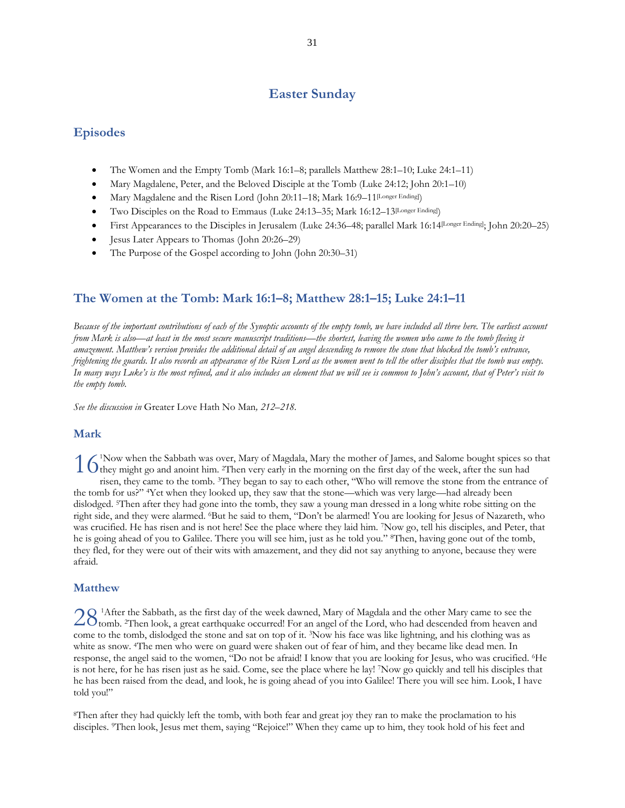# **Easter Sunday**

# <span id="page-30-0"></span>**Episodes**

- The Women and the Empty Tomb (Mark 16:1–8; parallels Matthew 28:1–10; Luke 24:1–11)
- Mary Magdalene, Peter, and the Beloved Disciple at the Tomb (Luke 24:12; John 20:1–10)
- Mary Magdalene and the Risen Lord (John 20:11–18; Mark 16:9–11<sup>[Longer Ending]</sup>)
- Two Disciples on the Road to Emmaus (Luke 24:13–35; Mark 16:12–13[Longer Ending])
- First Appearances to the Disciples in Jerusalem (Luke 24:36–48; parallel Mark 16:14<sup>[Longer Ending]</sup>; John 20:20–25)
- Jesus Later Appears to Thomas (John 20:26–29)
- The Purpose of the Gospel according to John (John 20:30–31)

### **The Women at the Tomb: Mark 16:1–8; Matthew 28:1–15; Luke 24:1–11**

*Because of the important contributions of each of the Synoptic accounts of the empty tomb, we have included all three here. The earliest account from Mark is also—at least in the most secure manuscript traditions—the shortest, leaving the women who came to the tomb fleeing it amazement. Matthew's version provides the additional detail of an angel descending to remove the stone that blocked the tomb's entrance, frightening the guards. It also records an appearance of the Risen Lord as the women went to tell the other disciples that the tomb was empty. In many ways Luke's is the most refined, and it also includes an element that we will see is common to John's account, that of Peter's visit to the empty tomb.*

*See the discussion in* Greater Love Hath No Man*, 212–218.*

#### **Mark**

<sup>1</sup>Now when the Sabbath was over, Mary of Magdala, Mary the mother of James, and Salome bought spices so that 1 6<sup>'Now</sup> when the Sabbath was over, Mary of Magdala, Mary the mother of James, and Salome bought spices so<br>1 6they might go and anoint him. <sup>2</sup>Then very early in the morning on the first day of the week, after the sun had risen, they came to the tomb. 3They began to say to each other, "Who will remove the stone from the entrance of the tomb for us?" 4Yet when they looked up, they saw that the stone—which was very large—had already been dislodged. <sup>5</sup>Then after they had gone into the tomb, they saw a young man dressed in a long white robe sitting on the right side, and they were alarmed. 6But he said to them, "Don't be alarmed! You are looking for Jesus of Nazareth, who was crucified. He has risen and is not here! See the place where they laid him. 7Now go, tell his disciples, and Peter, that he is going ahead of you to Galilee. There you will see him, just as he told you." <sup>8</sup>Then, having gone out of the tomb, they fled, for they were out of their wits with amazement, and they did not say anything to anyone, because they were afraid.

#### **Matthew**

<sup>1</sup>After the Sabbath, as the first day of the week dawned, Mary of Magdala and the other Mary came to see the  $28<sup>1</sup>$ After the Sabbath, as the first day of the week dawned, Mary of Magdala and the other Mary came to see the Lord, who had descended from heaven and  $28<sup>1</sup>$ come to the tomb, dislodged the stone and sat on top of it. 3Now his face was like lightning, and his clothing was as white as snow. <sup>4</sup>The men who were on guard were shaken out of fear of him, and they became like dead men. In response, the angel said to the women, "Do not be afraid! I know that you are looking for Jesus, who was crucified. 6He is not here, for he has risen just as he said. Come, see the place where he lay! 7Now go quickly and tell his disciples that he has been raised from the dead, and look, he is going ahead of you into Galilee! There you will see him. Look, I have told you!"

<sup>8</sup>Then after they had quickly left the tomb, with both fear and great joy they ran to make the proclamation to his disciples. 9Then look, Jesus met them, saying "Rejoice!" When they came up to him, they took hold of his feet and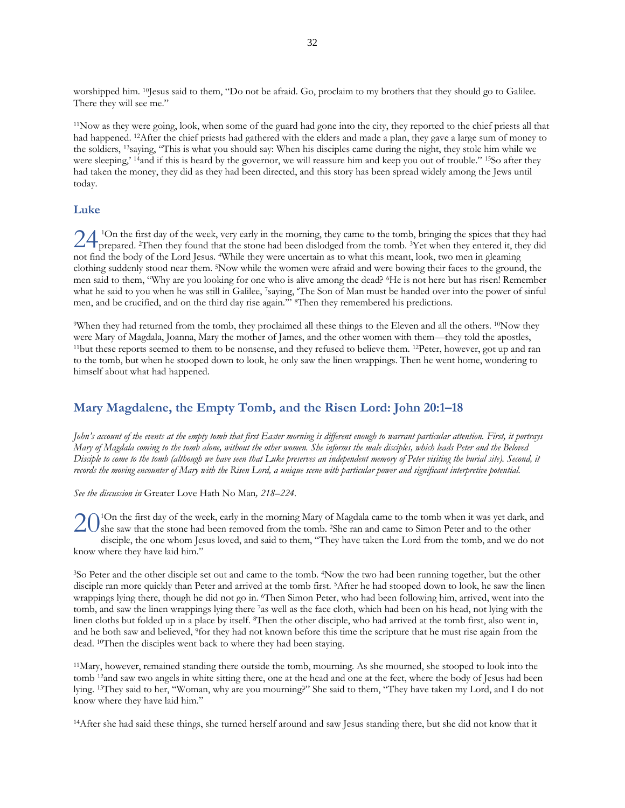worshipped him. 10Jesus said to them, "Do not be afraid. Go, proclaim to my brothers that they should go to Galilee. There they will see me."

<sup>11</sup>Now as they were going, look, when some of the guard had gone into the city, they reported to the chief priests all that had happened. <sup>12</sup>After the chief priests had gathered with the elders and made a plan, they gave a large sum of money to the soldiers, 13saying, "This is what you should say: When his disciples came during the night, they stole him while we were sleeping,' <sup>14</sup>and if this is heard by the governor, we will reassure him and keep you out of trouble." <sup>15</sup>So after they had taken the money, they did as they had been directed, and this story has been spread widely among the Jews until today.

#### **Luke**

<sup>1</sup>On the first day of the week, very early in the morning, they came to the tomb, bringing the spices that they had  $24$ <sup>1</sup>On the first day of the week, very early in the morning, they came to the tomb, bringing the spices that they had prepared. <sup>2</sup>Then they found that the stone had been dislodged from the tomb. <sup>3</sup>Yet when they enter not find the body of the Lord Jesus. 4While they were uncertain as to what this meant, look, two men in gleaming clothing suddenly stood near them. 5Now while the women were afraid and were bowing their faces to the ground, the men said to them, "Why are you looking for one who is alive among the dead? 6He is not here but has risen! Remember what he said to you when he was still in Galilee, 7saying, 'The Son of Man must be handed over into the power of sinful men, and be crucified, and on the third day rise again.'" 8Then they remembered his predictions.

<sup>9</sup>When they had returned from the tomb, they proclaimed all these things to the Eleven and all the others. 10Now they were Mary of Magdala, Joanna, Mary the mother of James, and the other women with them—they told the apostles, <sup>11</sup>but these reports seemed to them to be nonsense, and they refused to believe them. 12Peter, however, got up and ran to the tomb, but when he stooped down to look, he only saw the linen wrappings. Then he went home, wondering to himself about what had happened.

### **Mary Magdalene, the Empty Tomb, and the Risen Lord: John 20:1–18**

*John's account of the events at the empty tomb that first Easter morning is different enough to warrant particular attention. First, it portrays Mary of Magdala coming to the tomb alone, without the other women. She informs the male disciples, which leads Peter and the Beloved Disciple to come to the tomb (although we have seen that Luke preserves an independent memory of Peter visiting the burial site). Second, it records the moving encounter of Mary with the Risen Lord, a unique scene with particular power and significant interpretive potential.*

*See the discussion in* Greater Love Hath No Man*, 218–224.*

<sup>1</sup>On the first day of the week, early in the morning Mary of Magdala came to the tomb when it was yet dark, and  $20^{\circ}$  She saw that the stone had been removed from the tomb. <sup>2</sup>She ran and came to Simon Peter and to the other  $\frac{1}{\cdot}$ disciple, the one whom Jesus loved, and said to them, "They have taken the Lord from the tomb, and we do not know where they have laid him."

<sup>3</sup>So Peter and the other disciple set out and came to the tomb. 4Now the two had been running together, but the other disciple ran more quickly than Peter and arrived at the tomb first. <sup>5</sup>After he had stooped down to look, he saw the linen wrappings lying there, though he did not go in. <sup>6</sup>Then Simon Peter, who had been following him, arrived, went into the tomb, and saw the linen wrappings lying there 7as well as the face cloth, which had been on his head, not lying with the linen cloths but folded up in a place by itself. 8Then the other disciple, who had arrived at the tomb first, also went in, and he both saw and believed, <sup>9</sup> for they had not known before this time the scripture that he must rise again from the dead. 10Then the disciples went back to where they had been staying.

<sup>11</sup>Mary, however, remained standing there outside the tomb, mourning. As she mourned, she stooped to look into the tomb <sup>12</sup> and saw two angels in white sitting there, one at the head and one at the feet, where the body of Jesus had been lying. 13They said to her, "Woman, why are you mourning?" She said to them, "They have taken my Lord, and I do not know where they have laid him."

<sup>14</sup>After she had said these things, she turned herself around and saw Jesus standing there, but she did not know that it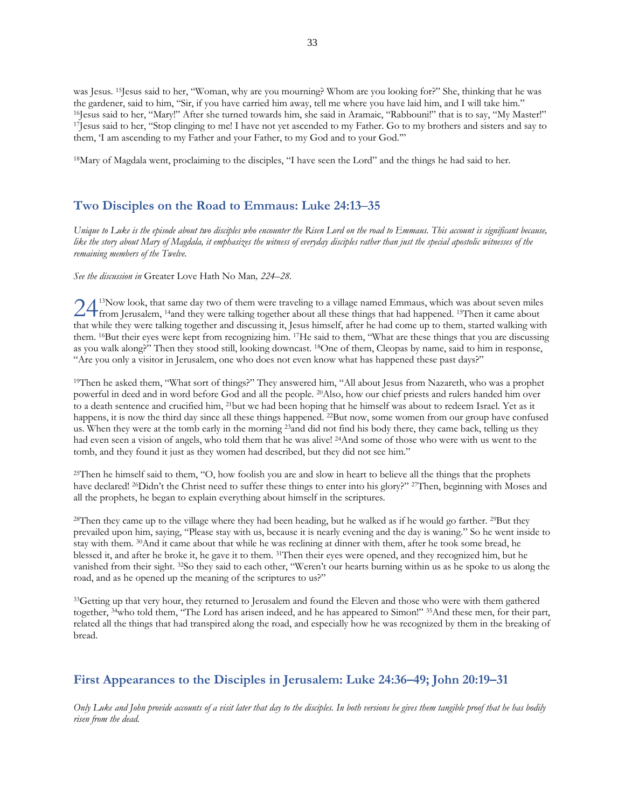was Jesus. <sup>15</sup>Jesus said to her, "Woman, why are you mourning? Whom are you looking for?" She, thinking that he was the gardener, said to him, "Sir, if you have carried him away, tell me where you have laid him, and I will take him." <sup>16</sup>Jesus said to her, "Mary!" After she turned towards him, she said in Aramaic, "Rabbouni!" that is to say, "My Master!" 17Jesus said to her, "Stop clinging to me! I have not yet ascended to my Father. Go to my brothers and sisters and say to them, 'I am ascending to my Father and your Father, to my God and to your God.'"

<sup>18</sup>Mary of Magdala went, proclaiming to the disciples, "I have seen the Lord" and the things he had said to her.

### **Two Disciples on the Road to Emmaus: Luke 24:13‒35**

*Unique to Luke is the episode about two disciples who encounter the Risen Lord on the road to Emmaus. This account is significant because, like the story about Mary of Magdala, it emphasizes the witness of everyday disciples rather than just the special apostolic witnesses of the remaining members of the Twelve.*

*See the discussion in* Greater Love Hath No Man*, 224–28.*

<sup>13</sup>Now look, that same day two of them were traveling to a village named Emmaus, which was about seven miles 24<sup>13</sup>Now look, that same day two of them were traveling to a village named Emmaus, which was about seven miles<br>from Jerusalem, <sup>14</sup>and they were talking together about all these things that had happened. <sup>15</sup>Then it came that while they were talking together and discussing it, Jesus himself, after he had come up to them, started walking with them. 16But their eyes were kept from recognizing him. 17He said to them, "What are these things that you are discussing as you walk along?" Then they stood still, looking downcast. 18One of them, Cleopas by name, said to him in response, "Are you only a visitor in Jerusalem, one who does not even know what has happened these past days?"

<sup>19</sup>Then he asked them, "What sort of things?" They answered him, "All about Jesus from Nazareth, who was a prophet powerful in deed and in word before God and all the people. 20Also, how our chief priests and rulers handed him over to a death sentence and crucified him, 21but we had been hoping that he himself was about to redeem Israel. Yet as it happens, it is now the third day since all these things happened. 22But now, some women from our group have confused us. When they were at the tomb early in the morning <sup>23</sup> and did not find his body there, they came back, telling us they had even seen a vision of angels, who told them that he was alive! <sup>24</sup>And some of those who were with us went to the tomb, and they found it just as they women had described, but they did not see him."

<sup>25</sup>Then he himself said to them, "O, how foolish you are and slow in heart to believe all the things that the prophets have declared! <sup>26</sup>Didn't the Christ need to suffer these things to enter into his glory?" <sup>27</sup>Then, beginning with Moses and all the prophets, he began to explain everything about himself in the scriptures.

<sup>28</sup>Then they came up to the village where they had been heading, but he walked as if he would go farther. <sup>29</sup>But they prevailed upon him, saying, "Please stay with us, because it is nearly evening and the day is waning." So he went inside to stay with them. 30And it came about that while he was reclining at dinner with them, after he took some bread, he blessed it, and after he broke it, he gave it to them. 31Then their eyes were opened, and they recognized him, but he vanished from their sight. 32So they said to each other, "Weren't our hearts burning within us as he spoke to us along the road, and as he opened up the meaning of the scriptures to us?"

<sup>33</sup>Getting up that very hour, they returned to Jerusalem and found the Eleven and those who were with them gathered together, 34who told them, "The Lord has arisen indeed, and he has appeared to Simon!" 35And these men, for their part, related all the things that had transpired along the road, and especially how he was recognized by them in the breaking of bread.

# **First Appearances to the Disciples in Jerusalem: Luke 24:36–49; John 20:19–31**

*Only Luke and John provide accounts of a visit later that day to the disciples. In both versions he gives them tangible proof that he has bodily risen from the dead.*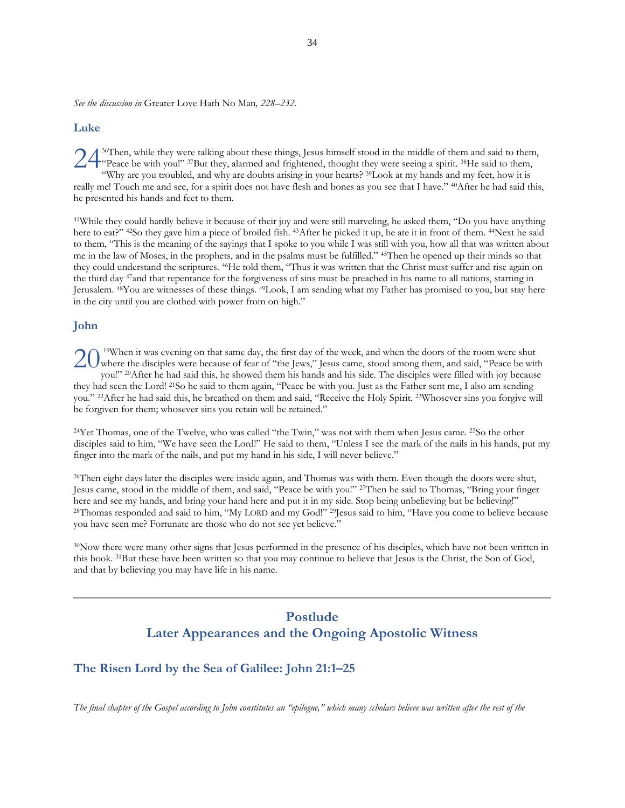*See the discussion in* Greater Love Hath No Man*, 228–232.*

### **Luke**

<sup>36</sup>Then, while they were talking about these things, Jesus himself stood in the middle of them and said to them, ""Peace be with you!" <sup>37</sup>But they, alarmed and frightened, thought they were seeing a spirit. <sup>38</sup>He said to them, "Why are you troubled, and why are doubts arising in your hearts? 39Look at my hands and my feet, how it is really me! Touch me and see, for a spirit does not have flesh and bones as you see that I have." 40After he had said this, 24

he presented his hands and feet to them.

<sup>41</sup>While they could hardly believe it because of their joy and were still marveling, he asked them, "Do you have anything here to eat?" <sup>42</sup>So they gave him a piece of broiled fish. <sup>43</sup>After he picked it up, he ate it in front of them. <sup>44</sup>Next he said to them, "This is the meaning of the sayings that I spoke to you while I was still with you, how all that was written about me in the law of Moses, in the prophets, and in the psalms must be fulfilled." 45Then he opened up their minds so that they could understand the scriptures. 46He told them, "Thus it was written that the Christ must suffer and rise again on the third day 47and that repentance for the forgiveness of sins must be preached in his name to all nations, starting in Jerusalem. 48You are witnesses of these things. 49Look, I am sending what my Father has promised to you, but stay here in the city until you are clothed with power from on high."

#### **John**

<sup>19</sup>When it was evening on that same day, the first day of the week, and when the doors of the room were shut  $20^{\text{19}}$ When it was evening on that same day, the first day of the week, and when the doors of the room were shut<br>where the disciples were because of fear of "the Jews," Jesus came, stood among them, and said, "Peace b you!" 20After he had said this, he showed them his hands and his side. The disciples were filled with joy because they had seen the Lord! 21So he said to them again, "Peace be with you. Just as the Father sent me, I also am sending you." 22After he had said this, he breathed on them and said, "Receive the Holy Spirit. 23Whosever sins you forgive will be forgiven for them; whosever sins you retain will be retained."

<sup>24</sup>Yet Thomas, one of the Twelve, who was called "the Twin," was not with them when Jesus came. 25So the other disciples said to him, "We have seen the Lord!" He said to them, "Unless I see the mark of the nails in his hands, put my finger into the mark of the nails, and put my hand in his side, I will never believe."

<sup>26</sup>Then eight days later the disciples were inside again, and Thomas was with them. Even though the doors were shut, Jesus came, stood in the middle of them, and said, "Peace be with you!" 27Then he said to Thomas, "Bring your finger here and see my hands, and bring your hand here and put it in my side. Stop being unbelieving but be believing!" <sup>28</sup>Thomas responded and said to him, "My LORD and my God!" <sup>29</sup>Jesus said to him, "Have you come to believe because you have seen me? Fortunate are those who do not see yet believe."

<sup>30</sup>Now there were many other signs that Jesus performed in the presence of his disciples, which have not been written in this book. 31But these have been written so that you may continue to believe that Jesus is the Christ, the Son of God, and that by believing you may have life in his name.

# **Postlude Later Appearances and the Ongoing Apostolic Witness**

### <span id="page-33-0"></span>**The Risen Lord by the Sea of Galilee: John 21:1–25**

*The final chapter of the Gospel according to John constitutes an "epilogue," which many scholars believe was written after the rest of the*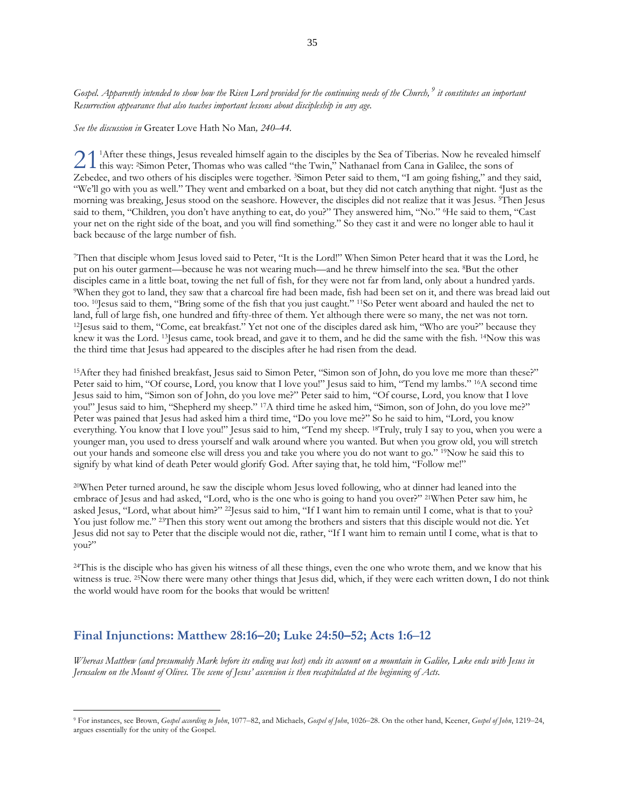*Gospel. Apparently intended to show how the Risen Lord provided for the continuing needs of the Church, <sup>9</sup> it constitutes an important Resurrection appearance that also teaches important lessons about discipleship in any age.*

#### *See the discussion in* Greater Love Hath No Man*, 240–44.*

1 <sup>1</sup> After these things, Jesus revealed himself again to the disciples by the Sea of Tiberias. Now he revealed himself 21 <sup>1</sup>After these things, Jesus revealed himself again to the disciples by the Sea of Tiberias. Now he revealed h<br>this way: <sup>2</sup>Simon Peter, Thomas who was called "the Twin," Nathanael from Cana in Galilee, the sons of Zebedee, and two others of his disciples were together. 3Simon Peter said to them, "I am going fishing," and they said, "We'll go with you as well." They went and embarked on a boat, but they did not catch anything that night. <sup>4</sup> Just as the morning was breaking, Jesus stood on the seashore. However, the disciples did not realize that it was Jesus. <sup>5</sup>Then Jesus said to them, "Children, you don't have anything to eat, do you?" They answered him, "No." <sup>6</sup>He said to them, "Cast your net on the right side of the boat, and you will find something." So they cast it and were no longer able to haul it back because of the large number of fish.

<sup>7</sup>Then that disciple whom Jesus loved said to Peter, "It is the Lord!" When Simon Peter heard that it was the Lord, he put on his outer garment—because he was not wearing much—and he threw himself into the sea. <sup>8</sup>But the other disciples came in a little boat, towing the net full of fish, for they were not far from land, only about a hundred yards. <sup>9</sup>When they got to land, they saw that a charcoal fire had been made, fish had been set on it, and there was bread laid out too. 10Jesus said to them, "Bring some of the fish that you just caught." 11So Peter went aboard and hauled the net to land, full of large fish, one hundred and fifty-three of them. Yet although there were so many, the net was not torn. <sup>12</sup>Jesus said to them, "Come, eat breakfast." Yet not one of the disciples dared ask him, "Who are you?" because they knew it was the Lord. 13Jesus came, took bread, and gave it to them, and he did the same with the fish. 14Now this was the third time that Jesus had appeared to the disciples after he had risen from the dead.

<sup>15</sup>After they had finished breakfast, Jesus said to Simon Peter, "Simon son of John, do you love me more than these?" Peter said to him, "Of course, Lord, you know that I love you!" Jesus said to him, "Tend my lambs." 16A second time Jesus said to him, "Simon son of John, do you love me?" Peter said to him, "Of course, Lord, you know that I love you!" Jesus said to him, "Shepherd my sheep." <sup>17</sup>A third time he asked him, "Simon, son of John, do you love me?" Peter was pained that Jesus had asked him a third time, "Do you love me?" So he said to him, "Lord, you know everything. You know that I love you!" Jesus said to him, "Tend my sheep. 18Truly, truly I say to you, when you were a younger man, you used to dress yourself and walk around where you wanted. But when you grow old, you will stretch out your hands and someone else will dress you and take you where you do not want to go." 19Now he said this to signify by what kind of death Peter would glorify God. After saying that, he told him, "Follow me!"

<sup>20</sup>When Peter turned around, he saw the disciple whom Jesus loved following, who at dinner had leaned into the embrace of Jesus and had asked, "Lord, who is the one who is going to hand you over?" 21When Peter saw him, he asked Jesus, "Lord, what about him?" 22Jesus said to him, "If I want him to remain until I come, what is that to you? You just follow me." <sup>23</sup>Then this story went out among the brothers and sisters that this disciple would not die. Yet Jesus did not say to Peter that the disciple would not die, rather, "If I want him to remain until I come, what is that to you?"

<sup>24</sup>This is the disciple who has given his witness of all these things, even the one who wrote them, and we know that his witness is true. <sup>25</sup>Now there were many other things that Jesus did, which, if they were each written down, I do not think the world would have room for the books that would be written!

### **Final Injunctions: Matthew 28:16–20; Luke 24:50–52; Acts 1:6‒12**

*Whereas Matthew (and presumably Mark before its ending was lost) ends its account on a mountain in Galilee, Luke ends with Jesus in Jerusalem on the Mount of Olives. The scene of Jesus' ascension is then recapitulated at the beginning of Acts.*

<sup>9</sup> For instances, see Brown, *Gospel according to John*, 1077‒82, and Michaels, *Gospel of John*, 1026‒28. On the other hand, Keener, *Gospel of John*, 1219‒24, argues essentially for the unity of the Gospel.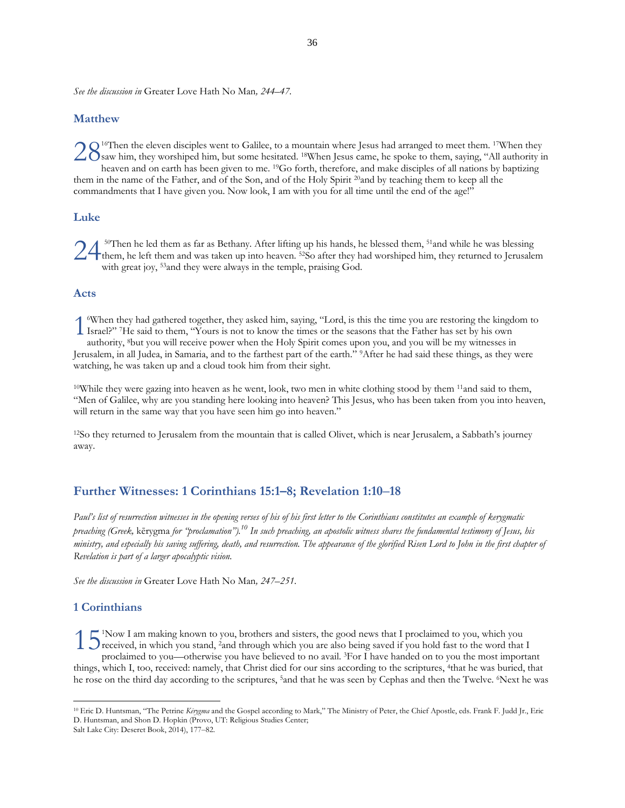*See the discussion in* Greater Love Hath No Man*, 244–47.*

#### **Matthew**

<sup>16</sup>Then the eleven disciples went to Galilee, to a mountain where Jesus had arranged to meet them. <sup>17</sup>When they  $28^{\text{16}}$ Then the eleven disciples went to Galilee, to a mountain where Jesus had arranged to meet them. <sup>17</sup>When they saw him, they worshiped him, but some hesitated. <sup>18</sup>When Jesus came, he spoke to them, saying, "All heaven and on earth has been given to me. 19Go forth, therefore, and make disciples of all nations by baptizing them in the name of the Father, and of the Son, and of the Holy Spirit 20and by teaching them to keep all the

commandments that I have given you. Now look, I am with you for all time until the end of the age!"

#### **Luke**

<sup>50</sup>Then he led them as far as Bethany. After lifting up his hands, he blessed them, <sup>51</sup>and while he was blessing 24<sup>50</sup>Then he led them as far as Bethany. After lifting up his hands, he blessed them, <sup>51</sup> and while he was blessing<br>them, he left them and was taken up into heaven. <sup>52</sup>So after they had worshiped him, they returned to J with great joy, <sup>53</sup>and they were always in the temple, praising God.

#### **Acts**

<sup>6</sup>When they had gathered together, they asked him, saying, "Lord, is this the time you are restoring the kingdom to When they had gathered together, they asked him, saying, "Lord, is this the time you are restoring the kingd Israel?" THe said to them, "Yours is not to know the times or the seasons that the Father has set by his own

authority, 8but you will receive power when the Holy Spirit comes upon you, and you will be my witnesses in Jerusalem, in all Judea, in Samaria, and to the farthest part of the earth." 9After he had said these things, as they were watching, he was taken up and a cloud took him from their sight.

<sup>10</sup>While they were gazing into heaven as he went, look, two men in white clothing stood by them <sup>11</sup>and said to them, "Men of Galilee, why are you standing here looking into heaven? This Jesus, who has been taken from you into heaven, will return in the same way that you have seen him go into heaven."

<sup>12</sup>So they returned to Jerusalem from the mountain that is called Olivet, which is near Jerusalem, a Sabbath's journey away.

### **Further Witnesses: 1 Corinthians 15:1–8; Revelation 1:10‒18**

*Paul's list of resurrection witnesses in the opening verses of his of his first letter to the Corinthians constitutes an example of kerygmatic preaching (Greek,* kērygma *for "proclamation").<sup>10</sup> In such preaching, an apostolic witness shares the fundamental testimony of Jesus, his ministry, and especially his saving suffering, death, and resurrection. The appearance of the glorified Risen Lord to John in the first chapter of Revelation is part of a larger apocalyptic vision.*

*See the discussion in* Greater Love Hath No Man*, 247–251.*

#### **1 Corinthians**

<sup>1</sup>Now I am making known to you, brothers and sisters, the good news that I proclaimed to you, which you <sup>1</sup>Now I am making known to you, brothers and sisters, the good news that I proclaimed to you, which you are also being saved if you hold fast to the word that I and through which you are also being saved if you hold fast proclaimed to you—otherwise you have believed to no avail. 3For I have handed on to you the most important things, which I, too, received: namely, that Christ died for our sins according to the scriptures, <sup>4</sup> that he was buried, that he rose on the third day according to the scriptures, <sup>5</sup>and that he was seen by Cephas and then the Twelve. <sup>6</sup>Next he was

<sup>&</sup>lt;sup>10</sup> Eric D. Huntsman, "The Petrine *Kērygma* and the Gospel according to Mark," The Ministry of Peter, the Chief Apostle, eds. Frank F. Judd Jr., Eric D. Huntsman, and Shon D. Hopkin (Provo, UT: Religious Studies Center; Salt Lake City: Deseret Book, 2014), 177-82.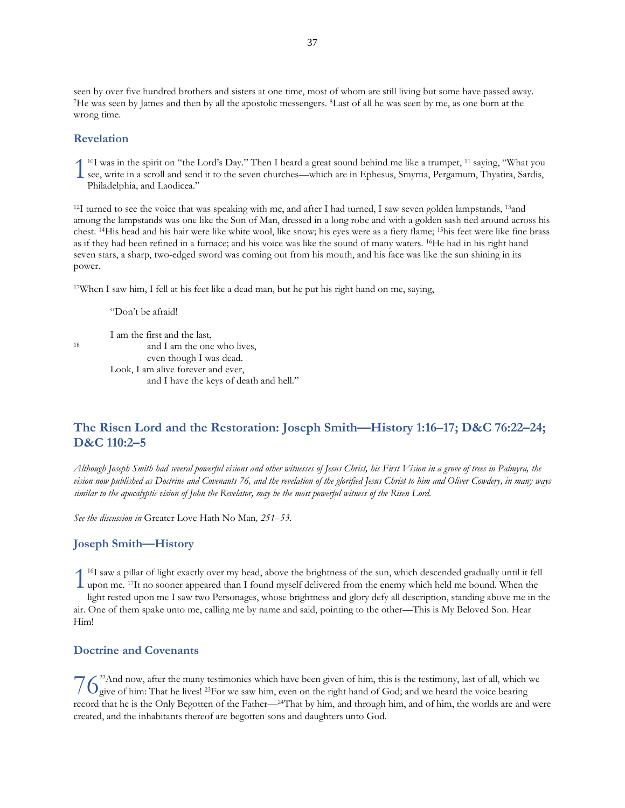seen by over five hundred brothers and sisters at one time, most of whom are still living but some have passed away. <sup>7</sup>He was seen by James and then by all the apostolic messengers. 8Last of all he was seen by me, as one born at the wrong time.

### **Revelation**

<sup>10</sup>I was in the spirit on "the Lord's Day." Then I heard a great sound behind me like a trumpet, <sup>11</sup> saying, "What you <sup>10</sup>I was in the spirit on "the Lord's Day." Then I heard a great sound behind me like a trumpet, <sup>11</sup> saying, "What you see, write in a scroll and send it to the seven churches—which are in Ephesus, Smyrna, Pergamum, Thya Philadelphia, and Laodicea."

<sup>12</sup>I turned to see the voice that was speaking with me, and after I had turned, I saw seven golden lampstands, 13and among the lampstands was one like the Son of Man, dressed in a long robe and with a golden sash tied around across his chest. 14His head and his hair were like white wool, like snow; his eyes were as a fiery flame; 15his feet were like fine brass as if they had been refined in a furnace; and his voice was like the sound of many waters. <sup>16</sup>He had in his right hand seven stars, a sharp, two-edged sword was coming out from his mouth, and his face was like the sun shining in its power.

<sup>17</sup>When I saw him, I fell at his feet like a dead man, but he put his right hand on me, saying,

"Don't be afraid!

I am the first and the last,

18 and I am the one who lives, even though I was dead. Look, I am alive forever and ever, and I have the keys of death and hell."

# **The Risen Lord and the Restoration: Joseph Smith—History 1:16‒17; D&C 76:22–24; D&C 110:2–5**

*Although Joseph Smith had several powerful visions and other witnesses of Jesus Christ, his First Vision in a grove of trees in Palmyra, the vision now published as Doctrine and Covenants 76, and the revelation of the glorified Jesus Christ to him and Oliver Cowdery, in many ways similar to the apocalyptic vision of John the Revelator, may be the most powerful witness of the Risen Lord.*

*See the discussion in* Greater Love Hath No Man*, 251–53.*

#### **Joseph Smith—History**

<sup>16</sup>I saw a pillar of light exactly over my head, above the brightness of the sun, which descended gradually until it fell <sup>16</sup>I saw a pillar of light exactly over my head, above the brightness of the sun, which descended gradually until it fel<br>
1 upon me. <sup>17</sup>It no sooner appeared than I found myself delivered from the enemy which held me bou light rested upon me I saw two Personages, whose brightness and glory defy all description, standing above me in the air. One of them spake unto me, calling me by name and said, pointing to the other—This is My Beloved Son. Hear Him!

### **Doctrine and Covenants**

<sup>22</sup>And now, after the many testimonies which have been given of him, this is the testimony, last of all, which we  $76^{\frac{22}{2}}$  and now, after the many testimonies which have been given of him, this is the testimony, last of all, which vertically points. That he lives! <sup>23</sup>For we saw him, even on the right hand of God; and we heard t record that he is the Only Begotten of the Father—<sup>24</sup>That by him, and through him, and of him, the worlds are and were created, and the inhabitants thereof are begotten sons and daughters unto God.